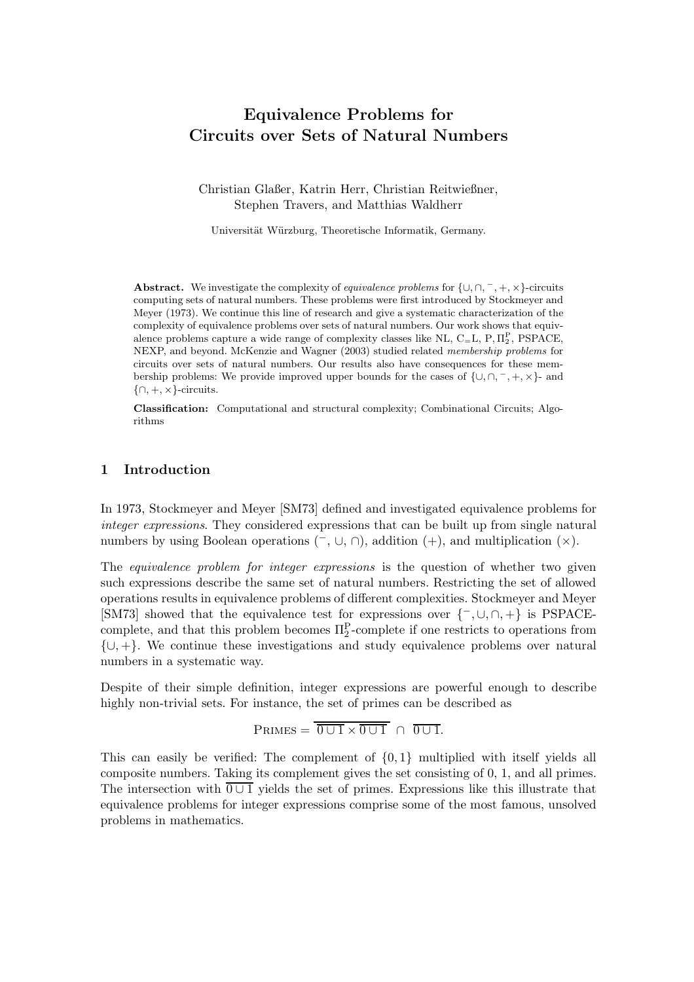# **Equivalence Problems for Circuits over Sets of Natural Numbers**

Christian Glaßer, Katrin Herr, Christian Reitwießner, Stephen Travers, and Matthias Waldherr

Universität Würzburg, Theoretische Informatik, Germany.

**Abstract.** We investigate the complexity of *equivalence problems* for {∪*,*∩*,* <sup>−</sup>*,* +*,* ×}-circuits computing sets of natural numbers. These problems were first introduced by Stockmeyer and Meyer (1973). We continue this line of research and give a systematic characterization of the complexity of equivalence problems over sets of natural numbers. Our work shows that equivalence problems capture a wide range of complexity classes like NL,  $C=L$ ,  $P, \Pi_2^P$ ,  $PSPACE$ ,  $NFYD$ , and havend  $McK$  angie and  $Wcmm$  (2002) studied related membership problems for NEXP, and beyond. McKenzie and Wagner (2003) studied related *membership problems* for circuits over sets of natural numbers. Our results also have consequences for these membership problems: We provide improved upper bounds for the cases of {∪*,*∩*,* <sup>−</sup>*,* +*,* ×}- and {∩*,* +*,* ×}-circuits.

**Classification:** Computational and structural complexity; Combinational Circuits; Algorithms

# **1 Introduction**

In 1973, Stockmeyer and Meyer [SM73] defined and investigated equivalence problems for *integer expressions*. They considered expressions that can be built up from single natural numbers by using Boolean operations  $(\neg, \cup, \cap)$ , addition  $(+)$ , and multiplication  $(\times)$ .

The *equivalence problem for integer expressions* is the question of whether two given such expressions describe the same set of natural numbers. Restricting the set of allowed operations results in equivalence problems of different complexities. Stockmeyer and Meyer [SM73] showed that the equivalence test for expressions over  $\{-\, \cup, \cap, +\}$  is PSPACEcomplete, and that this problem becomes  $\Pi_2^P$ -complete if one restricts to operations from  $\{\cup, +\}.$  We continue these investigations and study equivalence problems over natural numbers in a systematic way.

Despite of their simple definition, integer expressions are powerful enough to describe highly non-trivial sets. For instance, the set of primes can be described as

$$
PRIMES = \overline{0 \cup 1} \times \overline{0 \cup 1} \cap \overline{0 \cup 1}.
$$

This can easily be verified: The complement of  $\{0,1\}$  multiplied with itself yields all composite numbers. Taking its complement gives the set consisting of 0, 1, and all primes. The intersection with  $\overline{0 \cup 1}$  yields the set of primes. Expressions like this illustrate that equivalence problems for integer expressions comprise some of the most famous, unsolved problems in mathematics.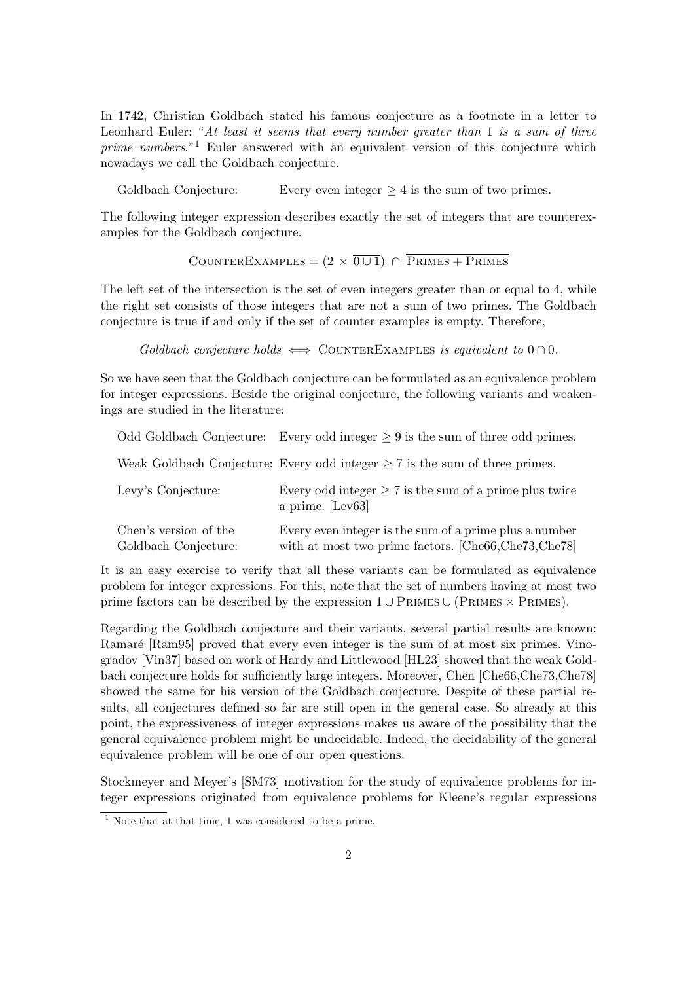In 1742, Christian Goldbach stated his famous conjecture as a footnote in a letter to Leonhard Euler: "*At least it seems that every number greater than* 1 *is a sum of three prime numbers*."<sup>1</sup> Euler answered with an equivalent version of this conjecture which nowadays we call the Goldbach conjecture.

Goldbach Conjecture: Every even integer  $\geq 4$  is the sum of two primes.

The following integer expression describes exactly the set of integers that are counterexamples for the Goldbach conjecture.

COUNTEREXAMPLES =  $(2 \times 0 \cup 1)$  ∩ PRIMES + PRIMES

The left set of the intersection is the set of even integers greater than or equal to 4, while the right set consists of those integers that are not a sum of two primes. The Goldbach conjecture is true if and only if the set of counter examples is empty. Therefore,

*Goldbach conjecture holds*  $\iff$  COUNTEREXAMPLES *is equivalent to*  $0 \cap \overline{0}$ *.* 

So we have seen that the Goldbach conjecture can be formulated as an equivalence problem for integer expressions. Beside the original conjecture, the following variants and weakenings are studied in the literature:

|                                               | Odd Goldbach Conjecture: Every odd integer $\geq 9$ is the sum of three odd primes.                           |
|-----------------------------------------------|---------------------------------------------------------------------------------------------------------------|
|                                               | Weak Goldbach Conjecture: Every odd integer $\geq 7$ is the sum of three primes.                              |
| Levy's Conjecture:                            | Every odd integer $\geq 7$ is the sum of a prime plus twice<br>a prime. [Lev63]                               |
| Chen's version of the<br>Goldbach Conjecture: | Every even integer is the sum of a prime plus a number<br>with at most two prime factors. [Che66,Che73,Che78] |

It is an easy exercise to verify that all these variants can be formulated as equivalence problem for integer expressions. For this, note that the set of numbers having at most two prime factors can be described by the expression  $1 \cup PRIMES \cup (PRIMES \times PRIMES)$ .

Regarding the Goldbach conjecture and their variants, several partial results are known: Ramaré [Ram95] proved that every even integer is the sum of at most six primes. Vinogradov [Vin37] based on work of Hardy and Littlewood [HL23] showed that the weak Goldbach conjecture holds for sufficiently large integers. Moreover, Chen [Che66,Che73,Che78] showed the same for his version of the Goldbach conjecture. Despite of these partial results, all conjectures defined so far are still open in the general case. So already at this point, the expressiveness of integer expressions makes us aware of the possibility that the general equivalence problem might be undecidable. Indeed, the decidability of the general equivalence problem will be one of our open questions.

Stockmeyer and Meyer's [SM73] motivation for the study of equivalence problems for integer expressions originated from equivalence problems for Kleene's regular expressions

 $1$  Note that at that time, 1 was considered to be a prime.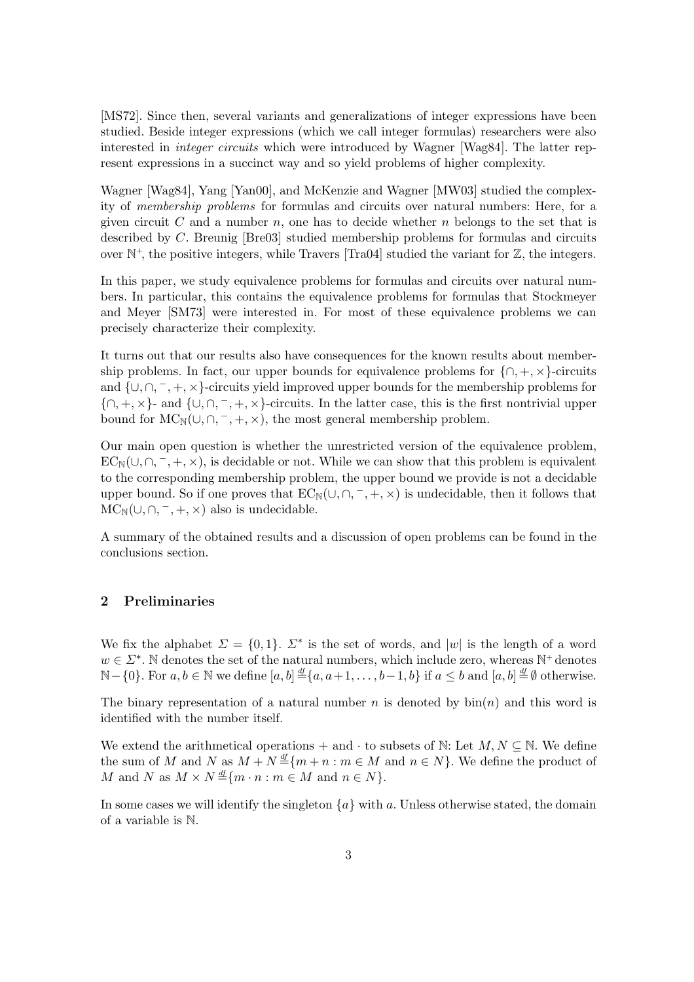[MS72]. Since then, several variants and generalizations of integer expressions have been studied. Beside integer expressions (which we call integer formulas) researchers were also interested in *integer circuits* which were introduced by Wagner [Wag84]. The latter represent expressions in a succinct way and so yield problems of higher complexity.

Wagner [Wag84], Yang [Yan00], and McKenzie and Wagner [MW03] studied the complexity of *membership problems* for formulas and circuits over natural numbers: Here, for a given circuit  $C$  and a number  $n$ , one has to decide whether  $n$  belongs to the set that is described by C. Breunig [Bre03] studied membership problems for formulas and circuits over  $\mathbb{N}^+$ , the positive integers, while Travers [Tra04] studied the variant for  $\mathbb{Z}$ , the integers.

In this paper, we study equivalence problems for formulas and circuits over natural numbers. In particular, this contains the equivalence problems for formulas that Stockmeyer and Meyer [SM73] were interested in. For most of these equivalence problems we can precisely characterize their complexity.

It turns out that our results also have consequences for the known results about membership problems. In fact, our upper bounds for equivalence problems for  $\{\cap, +, \times\}$ -circuits and  $\{\cup, \cap, \neg, +, \times\}$ -circuits yield improved upper bounds for the membership problems for  $\{\cap, +, \times\}$ - and  $\{\cup, \cap, -, +, \times\}$ -circuits. In the latter case, this is the first nontrivial upper bound for  $MC_N(\cup, \cap, \neg, +, \times)$ , the most general membership problem.

Our main open question is whether the unrestricted version of the equivalence problem,  $EC_{\mathbb{N}}(\cup,\cap,-,+\times)$ , is decidable or not. While we can show that this problem is equivalent to the corresponding membership problem, the upper bound we provide is not a decidable upper bound. So if one proves that  $EC_N(\cup, \cap, \neg, +, \times)$  is undecidable, then it follows that  $MC_N(\cup, \cap, \neg, +, \times)$  also is undecidable.

A summary of the obtained results and a discussion of open problems can be found in the conclusions section.

## **2 Preliminaries**

We fix the alphabet  $\Sigma = \{0,1\}$ .  $\Sigma^*$  is the set of words, and |w| is the length of a word  $w \in \Sigma^*$ . N denotes the set of the natural numbers, which include zero, whereas N<sup>+</sup> denotes N – {0}. For  $a, b \in \mathbb{N}$  we define  $[a, b] \stackrel{\text{df}}{=} \{a, a+1, \ldots, b-1, b\}$  if  $a \leq b$  and  $[a, b] \stackrel{\text{df}}{=} \emptyset$  otherwise.

The binary representation of a natural number n is denoted by  $\sin(n)$  and this word is identified with the number itself.

We extend the arithmetical operations + and  $\cdot$  to subsets of N: Let  $M, N \subseteq N$ . We define the sum of M and N as  $M + N \stackrel{\text{df}}{=} \{m + n : m \in M \text{ and } n \in N\}$ . We define the product of M and N as  $M \times N \stackrel{df}{=} \{m \cdot n : m \in M \text{ and } n \in N\}.$ 

In some cases we will identify the singleton  $\{a\}$  with a. Unless otherwise stated, the domain of a variable is N.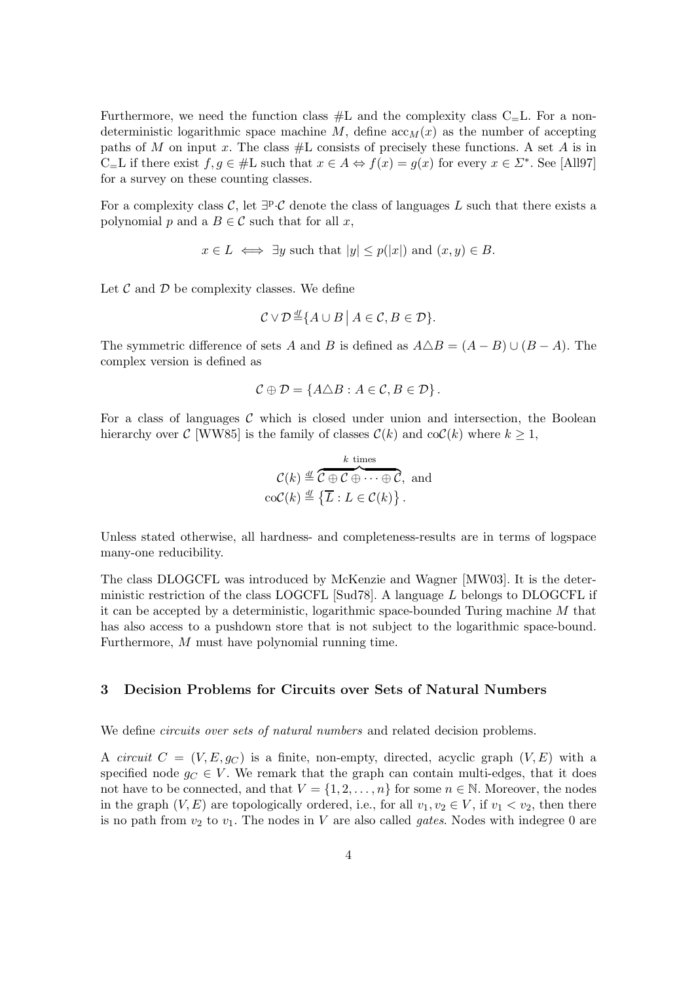Furthermore, we need the function class  $#L$  and the complexity class  $C=L$ . For a nondeterministic logarithmic space machine M, define  $\operatorname{acc}_M(x)$  as the number of accepting paths of M on input x. The class  $#L$  consists of precisely these functions. A set A is in C=L if there exist  $f,g \in \#$ L such that  $x \in A \Leftrightarrow f(x) = g(x)$  for every  $x \in \Sigma^*$ . See [All97] for a survey on these counting classes.

For a complexity class C, let  $\exists P \cdot C$  denote the class of languages L such that there exists a polynomial p and a  $B \in \mathcal{C}$  such that for all x,

$$
x \in L \iff \exists y \text{ such that } |y| \leq p(|x|) \text{ and } (x, y) \in B.
$$

Let  $\mathcal C$  and  $\mathcal D$  be complexity classes. We define

$$
\mathcal{C} \vee \mathcal{D} \stackrel{\mathrm{df}}{=} \{ A \cup B \mid A \in \mathcal{C}, B \in \mathcal{D} \}.
$$

The symmetric difference of sets A and B is defined as  $A \triangle B = (A - B) \cup (B - A)$ . The complex version is defined as

$$
\mathcal{C} \oplus \mathcal{D} = \{A \triangle B : A \in \mathcal{C}, B \in \mathcal{D}\}.
$$

For a class of languages  $\mathcal C$  which is closed under union and intersection, the Boolean hierarchy over C [WW85] is the family of classes  $\mathcal{C}(k)$  and  $\text{coC}(k)$  where  $k \geq 1$ ,

$$
\mathcal{C}(k) \stackrel{\text{df}}{=} \overbrace{\mathcal{C} \oplus \mathcal{C} \oplus \cdots \oplus \mathcal{C}}^{k \text{ times}}, \text{ and} \\ \text{coC}(k) \stackrel{\text{df}}{=} \left\{ \overline{L} : L \in \mathcal{C}(k) \right\}.
$$

Unless stated otherwise, all hardness- and completeness-results are in terms of logspace many-one reducibility.

The class DLOGCFL was introduced by McKenzie and Wagner [MW03]. It is the deterministic restriction of the class LOGCFL [Sud78]. A language L belongs to DLOGCFL if it can be accepted by a deterministic, logarithmic space-bounded Turing machine M that has also access to a pushdown store that is not subject to the logarithmic space-bound. Furthermore, M must have polynomial running time.

## **3 Decision Problems for Circuits over Sets of Natural Numbers**

We define *circuits over sets of natural numbers* and related decision problems.

A *circuit*  $C = (V, E, g_C)$  is a finite, non-empty, directed, acyclic graph  $(V, E)$  with a specified node  $g_C \in V$ . We remark that the graph can contain multi-edges, that it does not have to be connected, and that  $V = \{1, 2, ..., n\}$  for some  $n \in \mathbb{N}$ . Moreover, the nodes in the graph  $(V, E)$  are topologically ordered, i.e., for all  $v_1, v_2 \in V$ , if  $v_1 < v_2$ , then there is no path from  $v_2$  to  $v_1$ . The nodes in V are also called *gates*. Nodes with indegree 0 are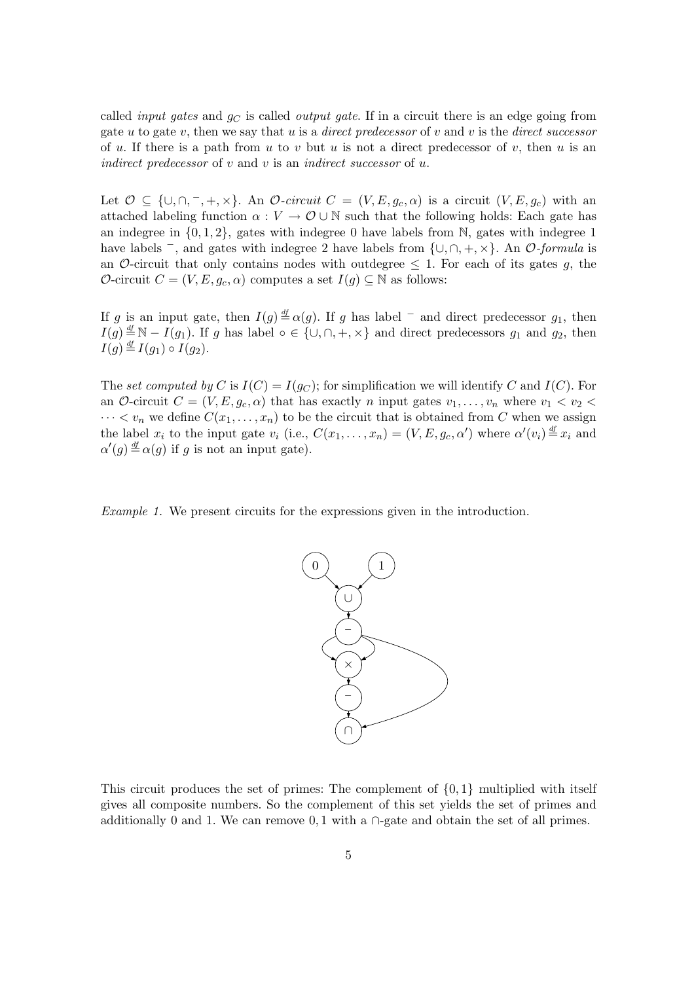called *input gates* and  $g_C$  is called *output gate*. If in a circuit there is an edge going from gate u to gate v, then we say that u is a *direct predecessor* of v and v is the *direct successor* of u. If there is a path from u to v but u is not a direct predecessor of v, then u is an *indirect predecessor* of v and v is an *indirect successor* of u.

Let  $\mathcal{O} \subseteq \{\cup, \cap, \neg, +, \times\}$ . An  $\mathcal{O}\text{-}circuit C = (V, E, g_c, \alpha)$  is a circuit  $(V, E, g_c)$  with an attached labeling function  $\alpha : V \to \mathcal{O} \cup \mathbb{N}$  such that the following holds: Each gate has an indegree in  $\{0, 1, 2\}$ , gates with indegree 0 have labels from N, gates with indegree 1 have labels <sup>−</sup>, and gates with indegree 2 have labels from {∪,∩, +, ×}. An O*-formula* is an O-circuit that only contains nodes with outdegree  $\leq 1$ . For each of its gates q, the O-circuit  $C = (V, E, g_c, \alpha)$  computes a set  $I(g) \subseteq \mathbb{N}$  as follows:

If g is an input gate, then  $I(g) \stackrel{df}{=} \alpha(g)$ . If g has label  $^-$  and direct predecessor  $g_1$ , then  $I(g) \stackrel{df}{=} \mathbb{N} - I(g_1)$ . If g has label ∘ ∈ {∪,∩, +, ×} and direct predecessors  $g_1$  and  $g_2$ , then  $I(g) \stackrel{\mathrm{df}}{=} I(g_1) \circ I(g_2).$ 

The *set computed by* C is  $I(C) = I(g_C)$ ; for simplification we will identify C and  $I(C)$ . For an O-circuit  $C = (V, E, g_c, \alpha)$  that has exactly n input gates  $v_1, \ldots, v_n$  where  $v_1 < v_2 <$  $\cdots < v_n$  we define  $C(x_1,\ldots,x_n)$  to be the circuit that is obtained from C when we assign the label  $x_i$  to the input gate  $v_i$  (i.e.,  $C(x_1, \ldots, x_n) = (V, E, g_c, \alpha')$  where  $\alpha'(v_i) \stackrel{df}{=} x_i$  and  $\alpha'(s) \stackrel{df}{=} \alpha(s)$  if a is not an input gate)  $\alpha'(g) \stackrel{\text{df}}{=} \alpha(g)$  if g is not an input gate).

*Example 1.* We present circuits for the expressions given in the introduction.



This circuit produces the set of primes: The complement of  $\{0, 1\}$  multiplied with itself gives all composite numbers. So the complement of this set yields the set of primes and additionally 0 and 1. We can remove 0, 1 with a  $\cap$ -gate and obtain the set of all primes.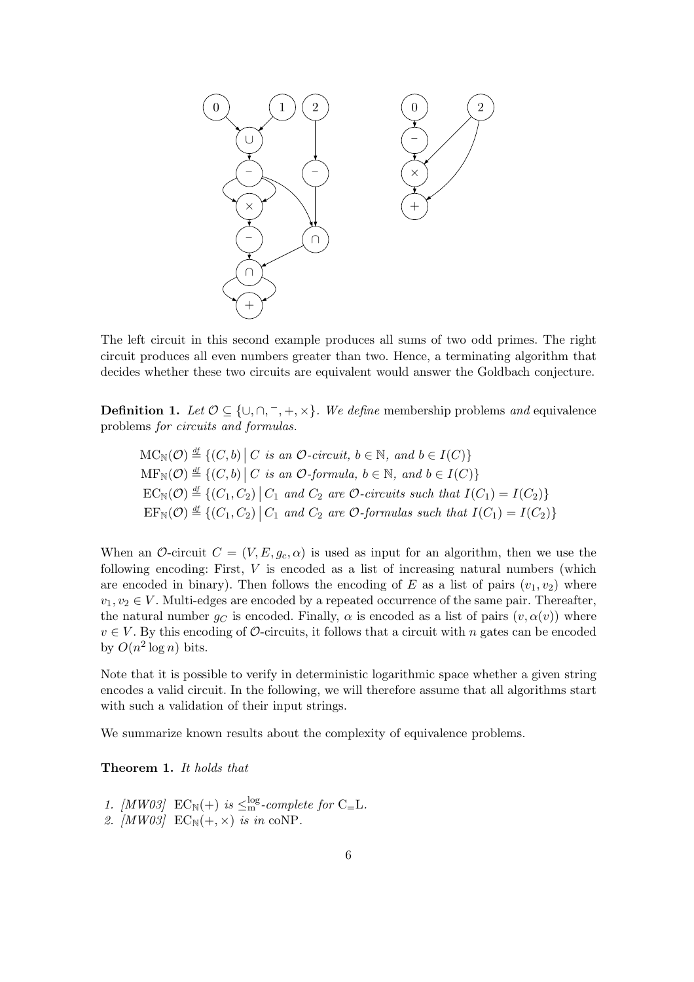

The left circuit in this second example produces all sums of two odd primes. The right circuit produces all even numbers greater than two. Hence, a terminating algorithm that decides whether these two circuits are equivalent would answer the Goldbach conjecture.

**Definition 1.** *Let*  $\mathcal{O} \subseteq \{\cup, \cap, \neg, +, \times\}$ *. We define* membership problems *and* equivalence problems *for circuits and formulas.*

$$
MC_N(\mathcal{O}) \stackrel{df}{=} \{ (C, b) \mid C \text{ is an } \mathcal{O}\text{-circuit, } b \in \mathbb{N}, \text{ and } b \in I(C) \}
$$
  
\n
$$
MF_N(\mathcal{O}) \stackrel{df}{=} \{ (C, b) \mid C \text{ is an } \mathcal{O}\text{-formula, } b \in \mathbb{N}, \text{ and } b \in I(C) \}
$$
  
\n
$$
EC_N(\mathcal{O}) \stackrel{df}{=} \{ (C_1, C_2) \mid C_1 \text{ and } C_2 \text{ are } \mathcal{O}\text{-circuits such that } I(C_1) = I(C_2) \}
$$
  
\n
$$
EF_N(\mathcal{O}) \stackrel{df}{=} \{ (C_1, C_2) \mid C_1 \text{ and } C_2 \text{ are } \mathcal{O}\text{-formulas such that } I(C_1) = I(C_2) \}
$$

When an O-circuit  $C = (V, E, g_c, \alpha)$  is used as input for an algorithm, then we use the following encoding: First,  $V$  is encoded as a list of increasing natural numbers (which are encoded in binary). Then follows the encoding of E as a list of pairs  $(v_1, v_2)$  where  $v_1, v_2 \in V$ . Multi-edges are encoded by a repeated occurrence of the same pair. Thereafter, the natural number  $g_C$  is encoded. Finally,  $\alpha$  is encoded as a list of pairs  $(v, \alpha(v))$  where  $v \in V$ . By this encoding of  $\mathcal{O}$ -circuits, it follows that a circuit with n gates can be encoded by  $O(n^2 \log n)$  bits.

Note that it is possible to verify in deterministic logarithmic space whether a given string encodes a valid circuit. In the following, we will therefore assume that all algorithms start with such a validation of their input strings.

We summarize known results about the complexity of equivalence problems.

**Theorem 1.** *It holds that*

1. [MW03]  $EC_N(+)$  is  $\leq_m^{log}$ -complete for C<sub>=</sub>L. 2.  $[MW03]$   $EC_N(+, \times)$  *is in* coNP.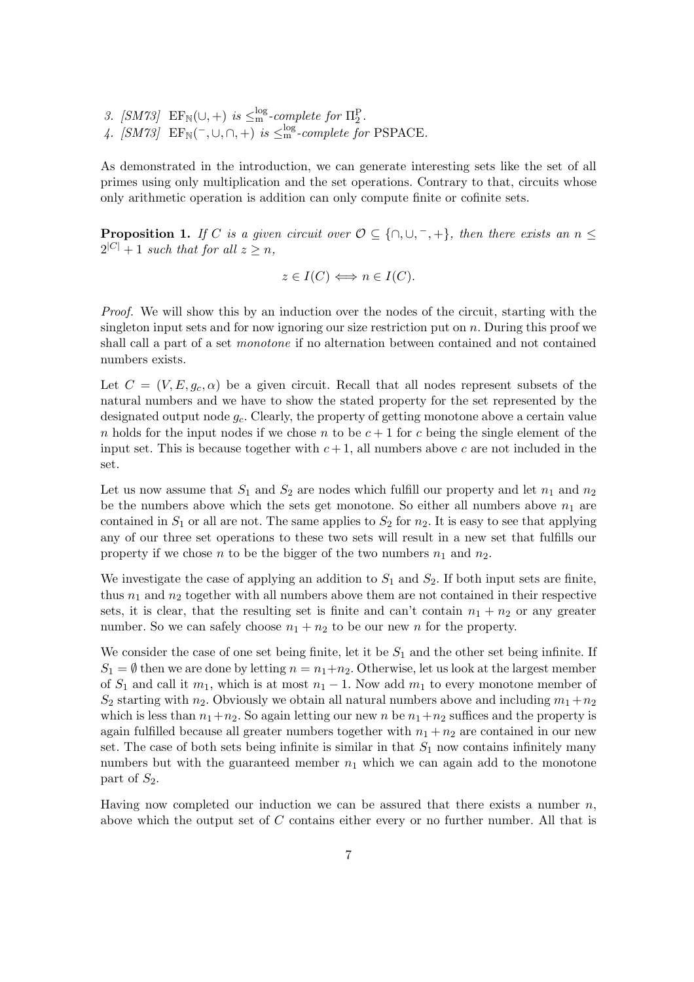*3.* [SM73] EF<sub>N</sub>(∪, +) *is*  $\leq$ <sup>no</sup> *-complete for*  $\Pi_2^P$ . 4. [SM73]  $EF_N(\text{-}, \cup, \cap, +)$  *is*  $\leq_m^{\log}$ -complete for PSPACE.

As demonstrated in the introduction, we can generate interesting sets like the set of all primes using only multiplication and the set operations. Contrary to that, circuits whose only arithmetic operation is addition can only compute finite or cofinite sets.

**Proposition 1.** *If* C *is a given circuit over*  $\mathcal{O} \subseteq \{\cap, \cup, \neg, +\}$ *, then there exists an*  $n \leq$  $2^{|C|}+1$  *such that for all*  $z > n$ ,

$$
z \in I(C) \iff n \in I(C).
$$

*Proof.* We will show this by an induction over the nodes of the circuit, starting with the singleton input sets and for now ignoring our size restriction put on  $n$ . During this proof we shall call a part of a set *monotone* if no alternation between contained and not contained numbers exists.

Let  $C = (V, E, g_c, \alpha)$  be a given circuit. Recall that all nodes represent subsets of the natural numbers and we have to show the stated property for the set represented by the designated output node  $g_c$ . Clearly, the property of getting monotone above a certain value n holds for the input nodes if we chose n to be  $c + 1$  for c being the single element of the input set. This is because together with  $c + 1$ , all numbers above c are not included in the set.

Let us now assume that  $S_1$  and  $S_2$  are nodes which fulfill our property and let  $n_1$  and  $n_2$ be the numbers above which the sets get monotone. So either all numbers above  $n_1$  are contained in  $S_1$  or all are not. The same applies to  $S_2$  for  $n_2$ . It is easy to see that applying any of our three set operations to these two sets will result in a new set that fulfills our property if we chose n to be the bigger of the two numbers  $n_1$  and  $n_2$ .

We investigate the case of applying an addition to  $S_1$  and  $S_2$ . If both input sets are finite, thus  $n_1$  and  $n_2$  together with all numbers above them are not contained in their respective sets, it is clear, that the resulting set is finite and can't contain  $n_1 + n_2$  or any greater number. So we can safely choose  $n_1 + n_2$  to be our new n for the property.

We consider the case of one set being finite, let it be  $S_1$  and the other set being infinite. If  $S_1 = \emptyset$  then we are done by letting  $n = n_1 + n_2$ . Otherwise, let us look at the largest member of  $S_1$  and call it  $m_1$ , which is at most  $n_1 - 1$ . Now add  $m_1$  to every monotone member of  $S_2$  starting with  $n_2$ . Obviously we obtain all natural numbers above and including  $m_1 + n_2$ which is less than  $n_1+n_2$ . So again letting our new n be  $n_1+n_2$  suffices and the property is again fulfilled because all greater numbers together with  $n_1 + n_2$  are contained in our new set. The case of both sets being infinite is similar in that  $S_1$  now contains infinitely many numbers but with the guaranteed member  $n_1$  which we can again add to the monotone part of  $S_2$ .

Having now completed our induction we can be assured that there exists a number  $n$ , above which the output set of C contains either every or no further number. All that is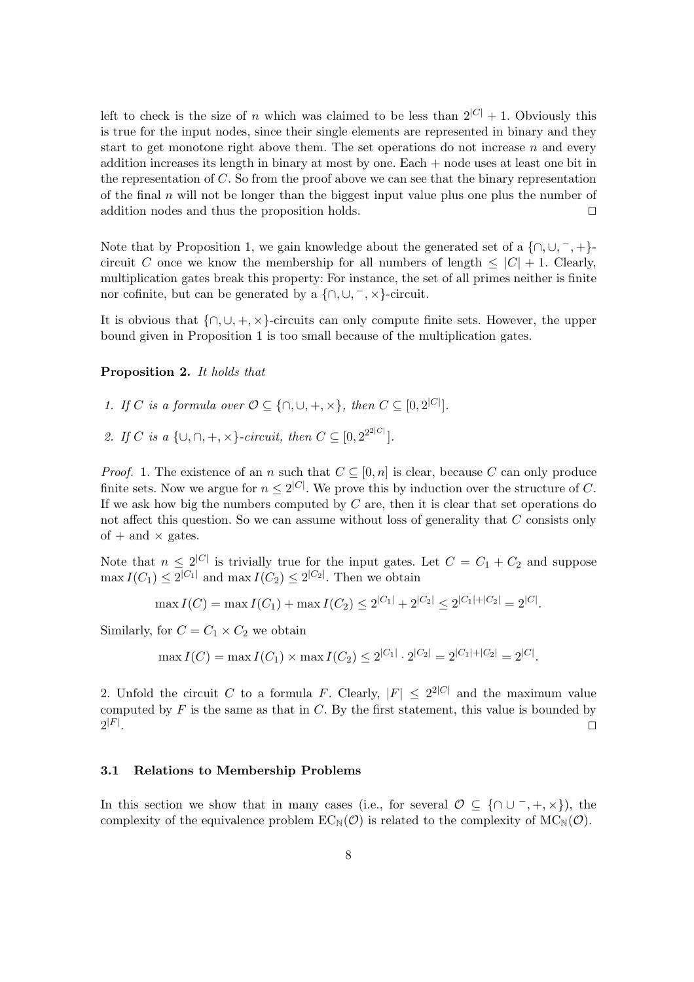left to check is the size of n which was claimed to be less than  $2^{|C|} + 1$ . Obviously this is true for the input nodes, since their single elements are represented in binary and they start to get monotone right above them. The set operations do not increase  $n$  and every addition increases its length in binary at most by one. Each + node uses at least one bit in the representation of  $C$ . So from the proof above we can see that the binary representation of the final  $n$  will not be longer than the biggest input value plus one plus the number of addition nodes and thus the proposition holds.

Note that by Proposition 1, we gain knowledge about the generated set of a  $\{\cap, \cup, \neg, +\}$ circuit C once we know the membership for all numbers of length  $\leq |C| + 1$ . Clearly, multiplication gates break this property: For instance, the set of all primes neither is finite nor cofinite, but can be generated by a  $\{\cap, \cup, \neg, \times\}$ -circuit.

It is obvious that  $\{\cap, \cup, +, \times\}$ -circuits can only compute finite sets. However, the upper bound given in Proposition 1 is too small because of the multiplication gates.

#### **Proposition 2.** *It holds that*

*1. If C is a formula over*  $O \subseteq \{\cap, \cup, +, \times\}$ , then  $C \subseteq [0, 2^{|C|}]$ .

*2. If C is* a { $\cup, \cap, +, \times$ }*-circuit, then*  $C \subseteq [0, 2^{2^{2|C|}}]$ *.* 

*Proof.* 1. The existence of an n such that  $C \subseteq [0, n]$  is clear, because C can only produce finite sets. Now we argue for  $n \leq 2^{|C|}$ . We prove this by induction over the structure of C. If we ask how big the numbers computed by  $C$  are, then it is clear that set operations do not affect this question. So we can assume without loss of generality that C consists only of  $+$  and  $\times$  gates.

Note that  $n \leq 2^{|C|}$  is trivially true for the input gates. Let  $C = C_1 + C_2$  and suppose  $\max I(C_1) \leq 2^{|C_1|}$  and  $\max I(C_2) \leq 2^{|C_2|}$ . Then we obtain

$$
\max I(C) = \max I(C_1) + \max I(C_2) \le 2^{|C_1|} + 2^{|C_2|} \le 2^{|C_1| + |C_2|} = 2^{|C|}.
$$

Similarly, for  $C = C_1 \times C_2$  we obtain

$$
\max I(C) = \max I(C_1) \times \max I(C_2) \le 2^{|C_1|} \cdot 2^{|C_2|} = 2^{|C_1| + |C_2|} = 2^{|C|}.
$$

2. Unfold the circuit C to a formula F. Clearly,  $|F| \leq 2^{2|C|}$  and the maximum value computed by  $F$  is the same as that in  $C$ . By the first statement, this value is bounded by  $2^{|F|}$ . . In the contract of the contract of the contract of the contract of the contract of the contract of the contract of

## **3.1 Relations to Membership Problems**

In this section we show that in many cases (i.e., for several  $\mathcal{O} \subseteq \{ \cap \cup^-, +, \times \}$ ), the complexity of the equivalence problem  $EC_{\mathbb{N}}(\mathcal{O})$  is related to the complexity of  $MC_{\mathbb{N}}(\mathcal{O})$ .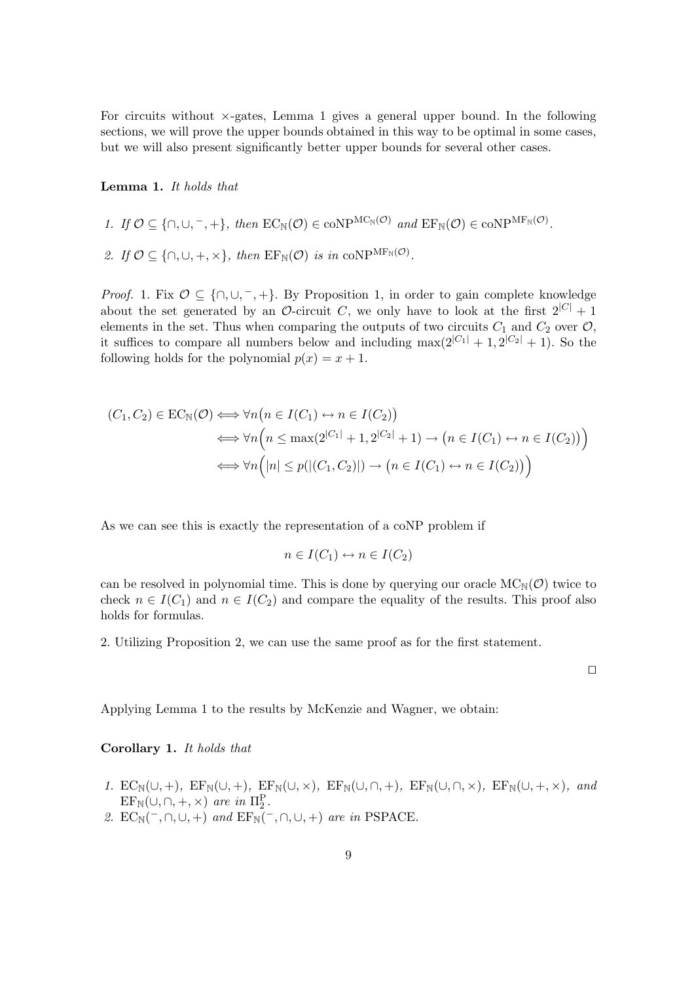For circuits without  $\times$ -gates, Lemma 1 gives a general upper bound. In the following sections, we will prove the upper bounds obtained in this way to be optimal in some cases, but we will also present significantly better upper bounds for several other cases.

## **Lemma 1.** *It holds that*

1. If 
$$
\mathcal{O} \subseteq \{\cap, \cup, \neg, +\}
$$
, then  $EC_N(\mathcal{O}) \in \text{coNP}^{\text{MC}_N(\mathcal{O})}$  and  $EF_N(\mathcal{O}) \in \text{coNP}^{\text{MF}_N(\mathcal{O})}$ 

2. If  $\mathcal{O} \subseteq \{\cap, \cup, +, \times\}$ , then  $\text{EF}_{\mathbb{N}}(\mathcal{O})$  *is in* coNP<sup>MF<sub>N</sub>( $\mathcal{O}$ ).</sup>

*Proof.* 1. Fix  $O \subseteq \{ \cap, \cup, \neg, + \}$ . By Proposition 1, in order to gain complete knowledge about the set generated by an  $\mathcal{O}\text{-}$ circuit C, we only have to look at the first  $2^{|C|} + 1$ elements in the set. Thus when comparing the outputs of two circuits  $C_1$  and  $C_2$  over  $\mathcal{O}$ , it suffices to compare all numbers below and including  $\max(2^{|C_1|} + 1, 2^{|C_2|} + 1)$ . So the following holds for the polynomial  $p(x) = x + 1$ .

$$
(C_1, C_2) \in EC_N(\mathcal{O}) \iff \forall n \big( n \in I(C_1) \leftrightarrow n \in I(C_2) \big) \iff \forall n \big( n \le \max(2^{|C_1|} + 1, 2^{|C_2|} + 1) \to \big( n \in I(C_1) \leftrightarrow n \in I(C_2) \big) \big) \iff \forall n \big( |n| \le p(|(C_1, C_2)|) \to \big( n \in I(C_1) \leftrightarrow n \in I(C_2) \big) \big)
$$

As we can see this is exactly the representation of a coNP problem if

$$
n \in I(C_1) \leftrightarrow n \in I(C_2)
$$

can be resolved in polynomial time. This is done by querying our oracle  $MC_N(\mathcal{O})$  twice to check  $n \in I(C_1)$  and  $n \in I(C_2)$  and compare the equality of the results. This proof also holds for formulas.

2. Utilizing Proposition 2, we can use the same proof as for the first statement.

 $\Box$ 

*.*

Applying Lemma 1 to the results by McKenzie and Wagner, we obtain:

**Corollary 1.** *It holds that*

- *1.*  $EC_N(\cup, +)$ ,  $EF_N(\cup, +)$ ,  $EF_N(\cup, \times)$ ,  $EF_N(\cup, \cap, +)$ ,  $EF_N(\cup, \cap, \times)$ ,  $EF_N(\cup, +, \times)$ , and  $\text{EF}_{\mathbb{N}}(\cup,\cap,+\times)$  are in  $\Pi_2^{\mathbb{P}}$ .<br> $\text{FC}_{\mathbb{N}}(\subseteq\cap\cup\cup\setminus)$  and  $\text{FE}_{\mathbb{N}}(\subseteq)$
- 2.  $EC_N(\overline{\phantom{x}}, \cap, \cup, +)$  *and*  $EF_N(\overline{\phantom{x}}, \cap, \cup, +)$  *are in* PSPACE.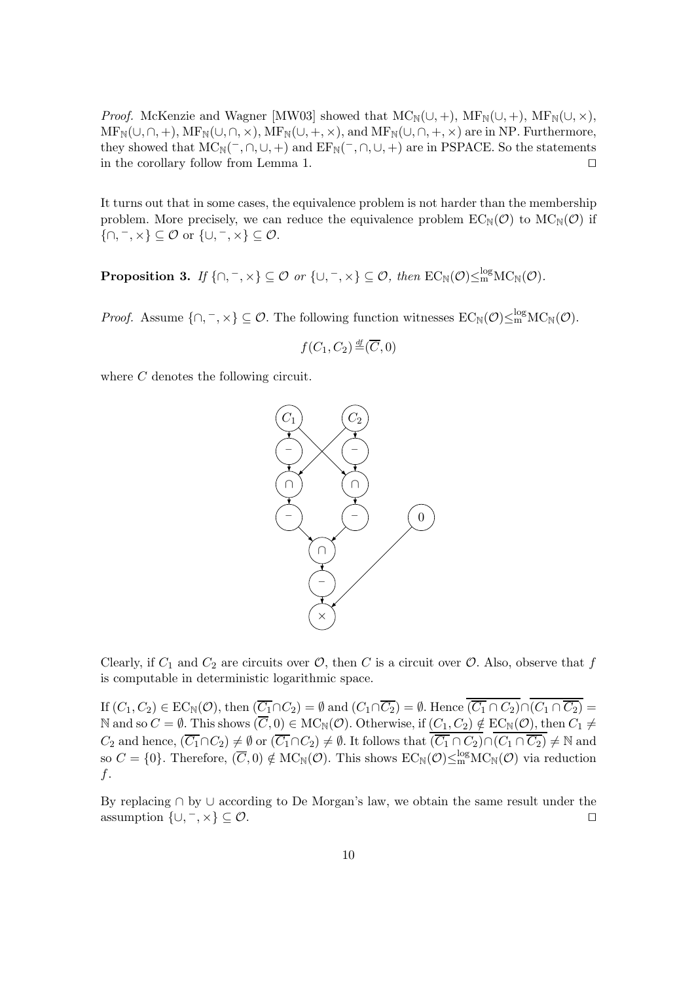*Proof.* McKenzie and Wagner [MW03] showed that  $MC_N(\cup, +)$ ,  $MF_N(\cup, +)$ ,  $MF_N(\cup, \times)$ ,  $MF_N(\cup, \cap, +)$ ,  $MF_N(\cup, \cap, \times)$ ,  $MF_N(\cup, +, \times)$ , and  $MF_N(\cup, \cap, +, \times)$  are in NP. Furthermore, they showed that  $MC_N(\overline{\phantom{a}}, \overline{\phantom{a}}, \overline{\phantom{a}}, \overline{\phantom{a}})$  and  $EF_N(\overline{\phantom{a}}, \overline{\phantom{a}}, \overline{\phantom{a}}, \overline{\phantom{a}})$  are in PSPACE. So the statements in the corollary follow from Lemma 1.

It turns out that in some cases, the equivalence problem is not harder than the membership problem. More precisely, we can reduce the equivalence problem  $EC_{\mathbb{N}}(\mathcal{O})$  to  $MC_{\mathbb{N}}(\mathcal{O})$  if  $\{\cap, \neg, \times\} \subseteq \mathcal{O}$  or  $\{\cup, \neg, \times\} \subseteq \mathcal{O}$ .

**Proposition 3.** *If*  $\{\cap, \neg, \times\} \subseteq \mathcal{O}$  *or*  $\{\cup, \neg, \times\} \subseteq \mathcal{O}$ *, then*  $EC_{\mathbb{N}}(\mathcal{O}) \leq_{\text{m}}^{\log}MC_{\mathbb{N}}(\mathcal{O})$ *.* 

*Proof.* Assume  $\{\cap, \neg, \times\} \subseteq \mathcal{O}$ . The following function witnesses  $EC_{\mathbb{N}}(\mathcal{O}) \leq_{\mathbf{m}}^{\log} \mathrm{MC}_{\mathbb{N}}(\mathcal{O})$ .

$$
f(C_1, C_2) \stackrel{\text{df}}{=} (\overline{C}, 0)
$$

where C denotes the following circuit.



Clearly, if  $C_1$  and  $C_2$  are circuits over  $\mathcal{O}$ , then C is a circuit over  $\mathcal{O}$ . Also, observe that f is computable in deterministic logarithmic space.

If  $(C_1, C_2) \in EC_{\mathbb{N}}(\mathcal{O}),$  then  $(\overline{C_1} \cap C_2) = \emptyset$  and  $(C_1 \cap \overline{C_2}) = \emptyset$ . Hence  $(\overline{C_1} \cap C_2) \cap (\overline{C_1} \cap \overline{C_2}) =$ N and so  $C = \emptyset$ . This shows  $(\overline{C}, 0) \in \text{MC}_\mathbb{N}(\mathcal{O})$ . Otherwise, if  $(C_1, C_2) \notin \text{EC}_\mathbb{N}(\mathcal{O})$ , then  $C_1 \neq C_1$ C<sub>2</sub> and hence,  $(\overline{C_1} \cap C_2) \neq \emptyset$  or  $(\overline{C_1} \cap C_2) \neq \emptyset$ . It follows that  $(\overline{C_1} \cap C_2) \cap (C_1 \cap \overline{C_2}) \neq \mathbb{N}$  and so  $C = \{0\}$ . Therefore,  $(\overline{C}, 0) \notin \mathrm{MC}_{\mathbb{N}}(\mathcal{O})$ . This shows  $\mathrm{EC}_{\mathbb{N}}(\mathcal{O}) \leq_{\mathrm$ f.

By replacing ∩ by ∪ according to De Morgan's law, we obtain the same result under the assumption  $\{\cup, \neg, \times\} \subseteq \mathcal{O}$ .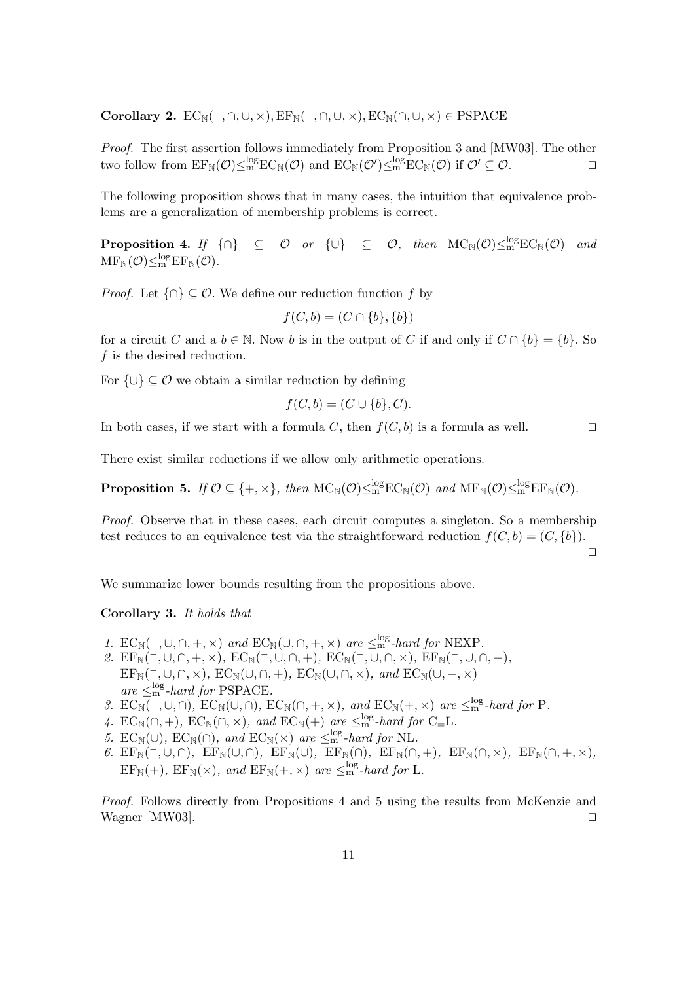**Corollary 2.**  $EC_N(\overline{\phantom{x}}, \cap, \cup, \times), EF_N(\overline{\phantom{x}}, \cap, \cup, \times), EC_N(\cap, \cup, \times) \in PSPACE$ 

*Proof.* The first assertion follows immediately from Proposition 3 and [MW03]. The other two follow from  $E F_{\mathbb{N}}(\mathcal{O}) \leq_m^{\log} E C_{\mathbb{N}}(\mathcal{O})$  and  $E C_{\mathbb{N}}(\mathcal{O}') \leq_m^{\log} E C_{\mathbb{N}}(\mathcal{O})$  if  $\mathcal{O}' \subseteq \mathcal{O}$ .

The following proposition shows that in many cases, the intuition that equivalence problems are a generalization of membership problems is correct.

**Proposition 4.** *If*  $\{\cap\}$   $\subseteq$  *O or*  $\{\cup\}$   $\subseteq$  *O*, *then*  $\mathrm{MC}_{\mathbb{N}}(\mathcal{O}) \leq_{\mathrm{m}}^{\log} \mathrm{EC}_{\mathbb{N}}(\mathcal{O})$  *and*  $\mathrm{MF}_{\mathbb{N}}(\mathcal{O})\leq^{\log}_{\mathrm{m}}\mathrm{EF}_{\mathbb{N}}(\mathcal{O}).$ 

*Proof.* Let  $\{\cap\} \subseteq \mathcal{O}$ . We define our reduction function f by

$$
f(C, b) = (C \cap \{b\}, \{b\})
$$

for a circuit C and a  $b \in \mathbb{N}$ . Now b is in the output of C if and only if  $C \cap \{b\} = \{b\}$ . So f is the desired reduction.

For  $\{\cup\} \subseteq \mathcal{O}$  we obtain a similar reduction by defining

$$
f(C, b) = (C \cup \{b\}, C).
$$

In both cases, if we start with a formula C, then  $f(C, b)$  is a formula as well.

There exist similar reductions if we allow only arithmetic operations.

**Proposition 5.** *If*  $\mathcal{O} \subseteq \{+, \times\}$ , then  $MC_N(\mathcal{O}) \leq m^{\text{log}} EC_N(\mathcal{O})$  *and*  $MF_N(\mathcal{O}) \leq m^{\text{log}} EF_N(\mathcal{O})$ *.* 

*Proof.* Observe that in these cases, each circuit computes a singleton. So a membership test reduces to an equivalence test via the straightforward reduction  $f(C, b) = (C, \{b\}).$ 

 $\Box$ 

We summarize lower bounds resulting from the propositions above.

# **Corollary 3.** *It holds that*

- *1.*  $\mathbf{EC}_{\mathbb{N}}(\neg, \cup, \cap, +, \times)$  *and*  $\mathbf{EC}_{\mathbb{N}}(\cup, \cap, +, \times)$  *are*  $\leq^{\log}_{\mathbb{N}}$ *-hard for* NEXP.
- 2.  $EF_N(\text{-}, \cup, \cap, +, \times)$ ,  $EC_N(\text{-}, \cup, \cap, +)$ ,  $EC_N(\text{-}, \cup, \cap, \times)$ ,  $EF_N(\text{-}, \cup, \cap, +)$ ,  $EF_N(\overline{\phantom{a}}, \cup, \cap, \times)$ *,*  $EC_N(\cup, \cap, +)$ *,*  $EC_N(\cup, \cap, \times)$ *, and*  $EC_N(\cup, +, \times)$  $are \leq_{\text{m}}^{\log}$ -hard for PSPACE.<br>EC<sub>11</sub>(= 110) EC<sub>11</sub>(10) E
- 3.  $EC_{\mathbb{N}}(\neg, \cup, \cap)$ *,*  $EC_{\mathbb{N}}(\cup, \cap)$ *,*  $EC_{\mathbb{N}}(\cap, +, \times)$ *, and*  $EC_{\mathbb{N}}(\neg, \times)$  *are*  $\leq_{\text{m}}^{\log}$ *-hard for* P*.*
- 4.  $EC_{\mathbb{N}}(\cap, +)$ ,  $EC_{\mathbb{N}}(\cap, \times)$ , and  $EC_{\mathbb{N}}(+)$  are  $\leq_{\text{log}}^{\text{log}}$ -hard for  $C = L$ .
- *5.*  $EC_N(\cup)$ ,  $EC_N(\cap)$ , and  $EC_N(\times)$  are  $\leq^{\log}_{m}$ -hard for NL.<br>6.  $FE_{\sim}(\cap)$ ,  $FE_{\sim}(\cap)$ ,  $FE_{\sim}(\cap)$ ,  $FE_{\sim}(\cap)$
- $6.$  EF<sub>N</sub>(<sup>-</sup>,∪,∩)<sup>*,*</sup> EF<sub>N</sub>(∪,∩)*,* EF<sub>N</sub>(∪)*,* EF<sub>N</sub>(∩)*,* EF<sub>N</sub>(∩,+)*,* EF<sub>N</sub>(∩,×)*,* EF<sub>N</sub>(∩,+,×)*,*  $EF_N(+)$ ,  $EF_N(\times)$ , and  $EF_N(+, \times)$  are  $\leq_m^{log}$ -hard for L.

*Proof.* Follows directly from Propositions 4 and 5 using the results from McKenzie and Wagner [MW03].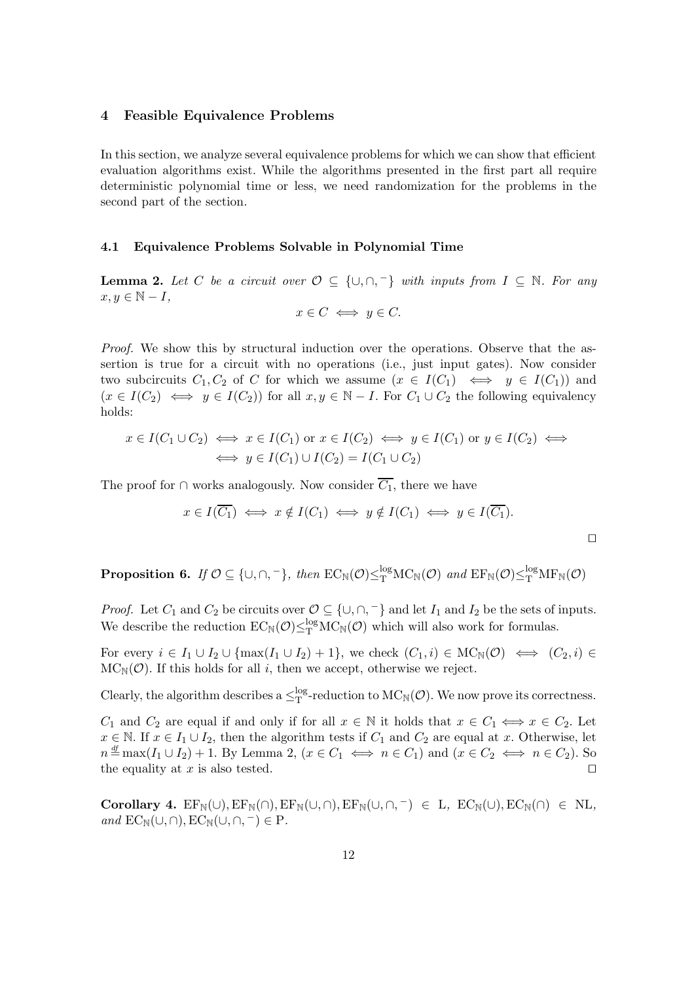## **4 Feasible Equivalence Problems**

In this section, we analyze several equivalence problems for which we can show that efficient evaluation algorithms exist. While the algorithms presented in the first part all require deterministic polynomial time or less, we need randomization for the problems in the second part of the section.

#### **4.1 Equivalence Problems Solvable in Polynomial Time**

**Lemma 2.** *Let* C *be a circuit over*  $\mathcal{O} \subseteq \{\cup, \cap, \neg\}$  *with inputs from*  $I \subseteq \mathbb{N}$ *. For any*  $x, y \in \mathbb{N} - I$ ,

$$
x \in C \iff y \in C.
$$

*Proof.* We show this by structural induction over the operations. Observe that the assertion is true for a circuit with no operations (i.e., just input gates). Now consider two subcircuits  $C_1, C_2$  of C for which we assume  $(x \in I(C_1) \iff y \in I(C_1))$  and  $(x \in I(C_2) \iff y \in I(C_2)$  for all  $x, y \in \mathbb{N} - I$ . For  $C_1 \cup C_2$  the following equivalency holds:

$$
x \in I(C_1 \cup C_2) \iff x \in I(C_1) \text{ or } x \in I(C_2) \iff y \in I(C_1) \text{ or } y \in I(C_2) \iff
$$
  

$$
\iff y \in I(C_1) \cup I(C_2) = I(C_1 \cup C_2)
$$

The proof for ∩ works analogously. Now consider  $\overline{C_1}$ , there we have

$$
x \in I(\overline{C_1}) \iff x \notin I(C_1) \iff y \notin I(C_1) \iff y \in I(\overline{C_1}).
$$

 $\Box$ 

**Proposition 6.** *If*  $O \subseteq \{\cup, \cap, \neg\}$ , then  $EC_{\mathbb{N}}(\mathcal{O}) \leq_{\mathrm{T}}^{\log} \mathrm{MC}_{\mathbb{N}}(\mathcal{O})$  and  $EF_{\mathbb{N}}(\mathcal{O}) \leq_{\mathrm{T}}^{\log} \mathrm{MF}_{\mathbb{N}}(\mathcal{O})$ 

*Proof.* Let  $C_1$  and  $C_2$  be circuits over  $\mathcal{O} \subseteq \{\cup, \cap, \overline{\ } \}$  and let  $I_1$  and  $I_2$  be the sets of inputs.<br>We describe the reduction  $EC_{\mathbb{N}}(\mathcal{O}) \leq_{\mathbb{T}}^{\log} MC_{\mathbb{N}}(\mathcal{O})$  which will also work for formulas

For every  $i \in I_1 \cup I_2 \cup \{\max(I_1 \cup I_2)+1\}$ , we check  $(C_1, i) \in \text{MC}_\mathbb{N}(\mathcal{O}) \iff (C_2, i) \in$  $MC_N(\mathcal{O})$ . If this holds for all i, then we accept, otherwise we reject.

Clearly, the algorithm describes a  $\leq_T^{log}$ -reduction to  $MC_N(\mathcal{O})$ . We now prove its correctness.

 $C_1$  and  $C_2$  are equal if and only if for all  $x \in \mathbb{N}$  it holds that  $x \in C_1 \iff x \in C_2$ . Let  $x \in \mathbb{N}$ . If  $x \in I_1 \cup I_2$ , then the algorithm tests if  $C_1$  and  $C_2$  are equal at x. Otherwise, let  $n \stackrel{\text{df}}{=} \max(I_1 \cup I_2) + 1$ . By Lemma 2,  $(x \in C_1 \iff n \in C_1)$  and  $(x \in C_2 \iff n \in C_2)$ . So the equality at  $x$  is also tested.

 $Corollary 4. EF_N(\cup), EF_N(\cap), EF_N(\cup, \cap), EF_N(\cup, \cap, ^{-}) \in L$ ,  $EC_N(\cup), EC_N(\cap) \in NL$ , *and*  $EC_{\mathbb{N}}(\cup,\cap), EC_{\mathbb{N}}(\cup,\cap,-)\in P$ .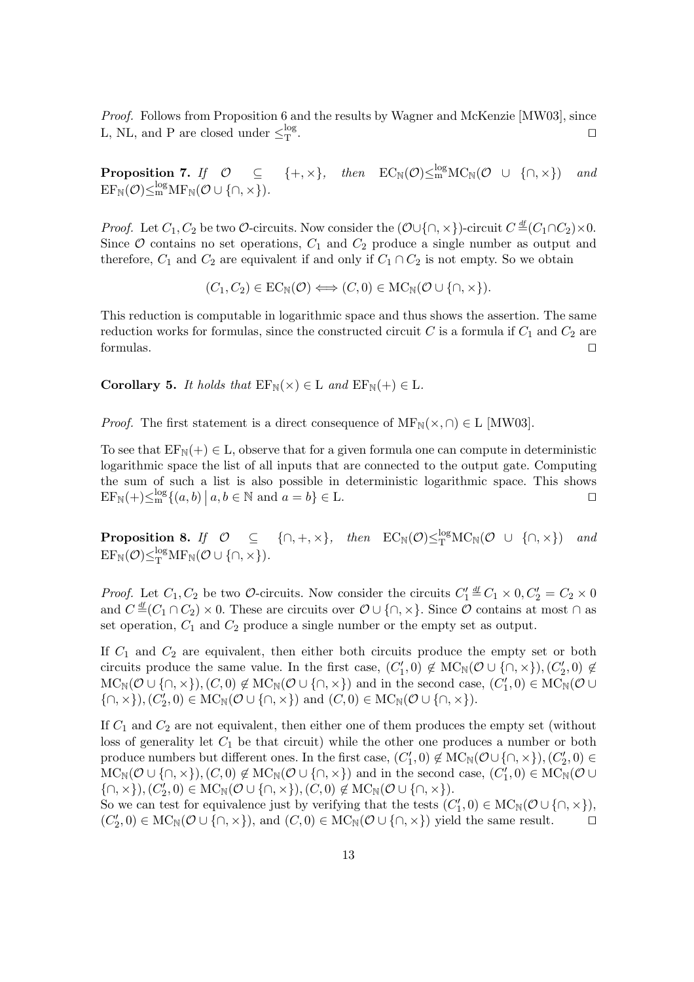*Proof.* Follows from Proposition 6 and the results by Wagner and McKenzie [MW03], since L, NL, and P are closed under  $\leq_T^{\log}$ .  $\Gamma$  .

**Proposition 7.** *If*  $\mathcal{O} \subseteq \{+, \times\}$ , then  $EC_{\mathbb{N}}(\mathcal{O}) \leq_{\mathbf{m}}^{\log} \mathbf{MC}_{\mathbb{N}}(\mathcal{O} \cup \{\cap, \times\})$  and  $\mathrm{EF}_{\mathbb{N}}(\mathcal{O})\leq^{\log}_{\mathrm{m}}\mathrm{MF}_{\mathbb{N}}(\mathcal{O}\cup\{\cap,\times\}).$ 

*Proof.* Let  $C_1, C_2$  be two  $\mathcal{O}\text{-circuits}$ . Now consider the  $(\mathcal{O}\cup\{\cap, \times\})\text{-circuit } C \stackrel{\text{df}}{=} (C_1 \cap C_2) \times 0$ . Since  $O$  contains no set operations,  $C_1$  and  $C_2$  produce a single number as output and therefore,  $C_1$  and  $C_2$  are equivalent if and only if  $C_1 \cap C_2$  is not empty. So we obtain

$$
(C_1, C_2) \in EC_{\mathbb{N}}(\mathcal{O}) \Longleftrightarrow (C, 0) \in \mathrm{MC}_{\mathbb{N}}(\mathcal{O} \cup \{\cap, \times\}).
$$

This reduction is computable in logarithmic space and thus shows the assertion. The same reduction works for formulas, since the constructed circuit C is a formula if  $C_1$  and  $C_2$  are formulas. formulas.

**Corollary 5.** *It holds that*  $EF_N(x) \in L$  *and*  $EF_N(+) \in L$ *.* 

*Proof.* The first statement is a direct consequence of  $MF_N(\times, \cap) \in L$  [MW03].

To see that  $EF_N(+) \in L$ , observe that for a given formula one can compute in deterministic logarithmic space the list of all inputs that are connected to the output gate. Computing the sum of such a list is also possible in deterministic logarithmic space. This shows  $\mathrm{EF}_{\mathbb{N}}(+) \leq^{\log}_m \{ (a, b) \mid a, b \in \mathbb{N} \text{ and } a = b \} \in \mathbb{L}.$ 

**Proposition 8.** *If*  $\mathcal{O} \subseteq \{\cap, +, \times\}$ , then  $EC_{\mathbb{N}}(\mathcal{O}) \leq_{\mathbb{T}}^{\log} \mathbb{M}C_{\mathbb{N}}(\mathcal{O} \cup \{\cap, \times\})$  and  $EF_{\mathbb{N}}(\mathcal{O}) \leq_{\mathbb{T}}^{\log} \mathbb{M}F_{\mathbb{N}}(\mathcal{O} \cup \{\cap, \times\})$ .

*Proof.* Let  $C_1$ ,  $C_2$  be two  $\mathcal{O}$ -circuits. Now consider the circuits  $C'_1 \stackrel{df}{=} C_1 \times 0$ ,  $C'_2 = C_2 \times 0$ <br>and  $C \stackrel{df}{=} (C_1 \cap C_2) \times 0$ . These are circuits over  $\mathcal{O} \cup \{ \cap \} \times 0$ . Since  $\mathcal{O}$  contains at most and  $C \stackrel{\text{df}}{=} (C_1 \cap C_2) \times 0$ . These are circuits over  $\mathcal{O} \cup \{\cap, \times\}$ . Since  $\mathcal{O}$  contains at most  $\cap$  as set operation,  $C_1$  and  $C_2$  produce a single number or the empty set as output.

If  $C_1$  and  $C_2$  are equivalent, then either both circuits produce the empty set or both circuits produce the same value. In the first case,  $(C'_1, 0) \notin \text{MC}_\mathbb{N}(\mathcal{O} \cup \{\cap, \times\}), (C'_2, 0) \notin \text{MC}_\mathbb{N}(\mathcal{O} \cup \{\cap, \times\})$  and in the second case,  $(C'_1, 0) \in \text{MC}_\mathbb{N}(\mathcal{O} \cup \{\cap, \times\})$  $MC_N(\mathcal{O} \cup \{\cap, \times\}), (C, 0) \notin MC_N(\mathcal{O} \cup \{\cap, \times\})$  and in the second case,  $(C'_1, 0) \in MC_N(\mathcal{O} \cup$ <br> $(C_1 \cup C_2 \cup C_3) \in MC_N(\mathcal{O} \cup C_4)$  and  $(C, 0) \in MC_N(\mathcal{O} \cup C_5)$  $\{\cap, \times\}, (C'_2, 0) \in \text{MC}_{\mathbb{N}}(\mathcal{O} \cup \{\cap, \times\})$  and  $(C, 0) \in \text{MC}_{\mathbb{N}}(\mathcal{O} \cup \{\cap, \times\}).$ 

If  $C_1$  and  $C_2$  are not equivalent, then either one of them produces the empty set (without loss of generality let  $C_1$  be that circuit) while the other one produces a number or both produce numbers but different ones. In the first case,  $(C'_1, 0) \notin \text{MC}_\mathbb{N}(\mathcal{O} \cup \{\cap, \times\}), (C'_2, 0) \in \text{MC}_\mathbb{N}(\mathcal{O} \cup \{\cap, \times\})$  and in the second case,  $(C'_1, 0) \in \text{MC}_\mathbb{N}(\mathcal{O} \cup \{\cap, \times\})$  $MC_N(\mathcal{O} \cup \{\cap, \times\}), (C, 0) \notin MC_N(\mathcal{O} \cup \{\cap, \times\})$  and in the second case,  $(C'_1, 0) \in MC_N(\mathcal{O} \cup$ <br> $(C \cup C \cup C \cup C) \in MC_N(\mathcal{O} \cup C) \neq MC_N(\mathcal{O} \cup C) \neq MC_N(\mathcal{O} \cup C)$  $\{\cap, \times\}, (C'_2, 0) \in \text{MC}_{\mathbb{N}}(\mathcal{O} \cup \{\cap, \times\}), (C, 0) \notin \text{MC}_{\mathbb{N}}(\mathcal{O} \cup \{\cap, \times\}).$ <br>So we can test for equivalence just by verifying that the tests (C

So we can test for equivalence just by verifying that the tests  $(C'_1, 0) \in \text{MC}_\mathbb{N}(\mathcal{O} \cup \{\cap, \times\})$ ,<br> $(C'_1, 0) \in \text{MC}_\mathbb{N}(\mathcal{O} \cup \{\cap, \times\})$  and  $(C, 0) \in \text{MC}_\mathbb{N}(\mathcal{O} \cup \{\cap, \times\})$  yield the same result  $(C'_2, 0) \in \text{MC}_{\mathbb{N}}(\mathcal{O} \cup \{\cap, \times\})$ , and  $(C, 0) \in \text{MC}_{\mathbb{N}}(\mathcal{O} \cup \{\cap, \times\})$  yield the same result.  $\square$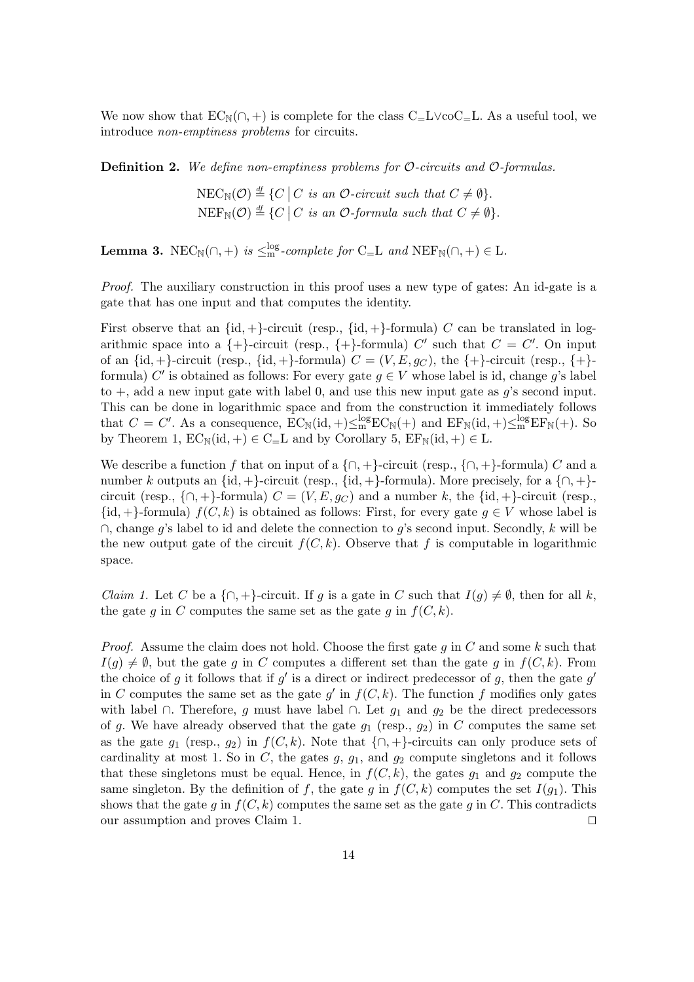We now show that  $EC_N(\cap, +)$  is complete for the class  $C=L\vee coC=L$ . As a useful tool, we introduce *non-emptiness problems* for circuits.

**Definition 2.** *We define non-emptiness problems for* O*-circuits and* O*-formulas.*

 $NEC_{\mathbb{N}}(\mathcal{O}) \stackrel{\mathrm{df}}{=} \{C \mid C \text{ is an } \mathcal{O}\text{-}circuit such that } C \neq \emptyset\}.$  $\text{NEF}_{\mathbb{N}}(\mathcal{O}) \stackrel{\text{df}}{=} \{C \mid C \text{ is an } \mathcal{O}\text{-formula such that } C \neq \emptyset\}.$ 

**Lemma 3.** NEC<sub>N</sub>( $\cap$ , +) *is*  $\leq$ <sup>nog</sup>-complete for C<sub>=</sub>L *and* NEF<sub>N</sub>( $\cap$ , +)  $\in$  L.

*Proof.* The auxiliary construction in this proof uses a new type of gates: An id-gate is a gate that has one input and that computes the identity.

First observe that an  $\{id, +\}$ -circuit (resp.,  $\{id, +\}$ -formula) C can be translated in logarithmic space into a  $\{\dagger\}$ -circuit (resp.,  $\{\dagger\}$ -formula) C' such that  $C = C'$ . On input of an  $\{id, +\}$ -circuit (resp.,  $\{id, +\}$ -formula)  $C = (V, E, g_C)$ , the  $\{+\}$ -circuit (resp.,  $\{+\}$ formula) C' is obtained as follows: For every gate  $g \in V$  whose label is id, change g's label to  $+$ , add a new input gate with label 0, and use this new input gate as q's second input. This can be done in logarithmic space and from the construction it immediately follows that  $C = C'$ . As a consequence,  $EC_{\mathbb{N}}(\mathrm{id}, +) \leq_{\mathbb{N}}^{\log} EC_{\mathbb{N}}(+)$  and  $EF_{\mathbb{N}}(\mathrm{id}, +) \leq_{\mathbb{N}}^{\log} EF_{\mathbb{N}}(+)$ . So by Theorem 1,  $EC_N(id,+) \in C = L$  and by Corollary 5,  $EF_N(id,+) \in L$ .

We describe a function f that on input of a  $\{\cap, +\}$ -circuit (resp.,  $\{\cap, +\}$ -formula) C and a number k outputs an  $\{id, +\}$ -circuit (resp.,  $\{id, +\}$ -formula). More precisely, for a  $\{\cap, +\}$ circuit (resp.,  $\{\cap, +\}$ -formula)  $C = (V, E, g_C)$  and a number k, the  $\{id, +\}$ -circuit (resp.,  $\{\mathrm{id}, +\}$ -formula)  $f(C, k)$  is obtained as follows: First, for every gate  $g \in V$  whose label is  $\cap$ , change g's label to id and delete the connection to g's second input. Secondly, k will be the new output gate of the circuit  $f(C, k)$ . Observe that f is computable in logarithmic space.

*Claim 1.* Let C be a  $\{\cap, +\}$ -circuit. If g is a gate in C such that  $I(g) \neq \emptyset$ , then for all k, the gate g in C computes the same set as the gate g in  $f(C, k)$ .

*Proof.* Assume the claim does not hold. Choose the first gate g in C and some k such that  $I(q) \neq \emptyset$ , but the gate q in C computes a different set than the gate q in  $f(C, k)$ . From the choice of g it follows that if  $g'$  is a direct or indirect predecessor of g, then the gate  $g'$ in C computes the same set as the gate  $g'$  in  $f(C, k)$ . The function f modifies only gates with label ∩. Therefore, g must have label ∩. Let  $g_1$  and  $g_2$  be the direct predecessors of g. We have already observed that the gate  $g_1$  (resp.,  $g_2$ ) in C computes the same set as the gate  $g_1$  (resp.,  $g_2$ ) in  $f(C, k)$ . Note that  $\{\cap, +\}$ -circuits can only produce sets of cardinality at most 1. So in  $C$ , the gates  $g$ ,  $g_1$ , and  $g_2$  compute singletons and it follows that these singletons must be equal. Hence, in  $f(C, k)$ , the gates  $g_1$  and  $g_2$  compute the same singleton. By the definition of f, the gate g in  $f(C, k)$  computes the set  $I(g_1)$ . This shows that the gate g in  $f(C, k)$  computes the same set as the gate g in C. This contradicts our assumption and proves Claim 1.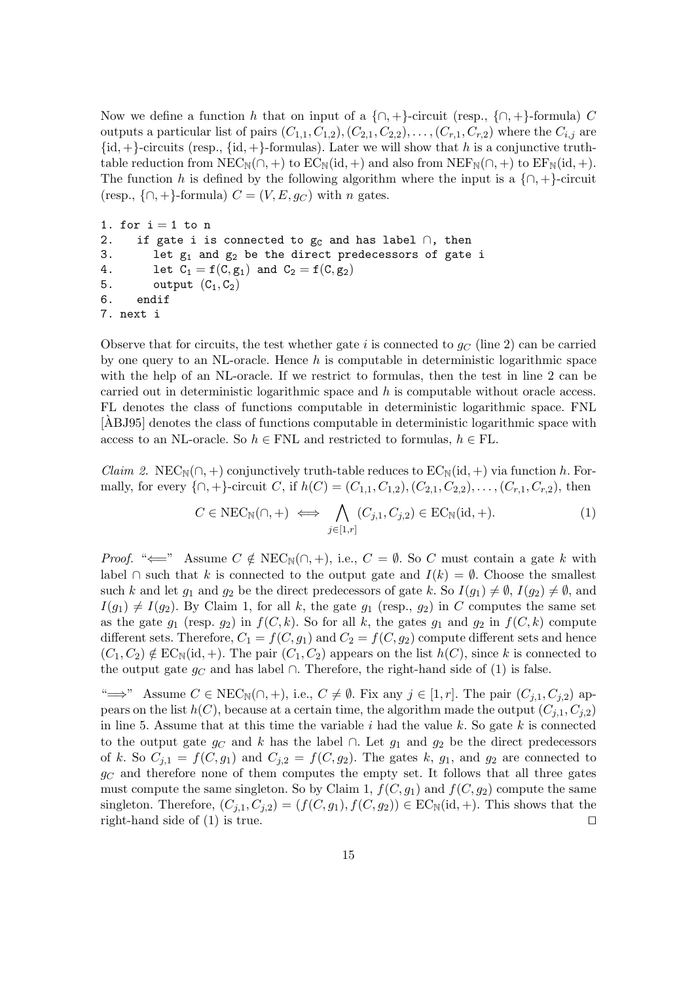Now we define a function h that on input of a  $\{\cap, +\}$ -circuit (resp.,  $\{\cap, +\}$ -formula) C outputs a particular list of pairs  $(C_{1,1}, C_{1,2}), (C_{2,1}, C_{2,2}), \ldots, (C_{r,1}, C_{r,2})$  where the  $C_{i,j}$  are  $\{id, +\}$ -circuits (resp.,  $\{id, +\}$ -formulas). Later we will show that h is a conjunctive truthtable reduction from  $NEC_N(\cap, +)$  to  $EC_N(id, +)$  and also from  $NEF_N(\cap, +)$  to  $EF_N(id, +)$ . The function h is defined by the following algorithm where the input is a  $\{\cap, +\}$ -circuit (resp.,  $\{\cap, +\}$ -formula)  $C = (V, E, g_C)$  with n gates.

```
1. for i = 1 to n
2. if gate i is connected to g_C and has label \cap, then
3. let g_1 and g_2 be the direct predecessors of gate i
4. Let C_1 = f(C, g_1) and C_2 = f(C, g_2)5. output (C_1, C_2)6. endif
7. next i
```
Observe that for circuits, the test whether gate i is connected to  $g_C$  (line 2) can be carried by one query to an NL-oracle. Hence  $h$  is computable in deterministic logarithmic space with the help of an NL-oracle. If we restrict to formulas, then the test in line 2 can be carried out in deterministic logarithmic space and h is computable without oracle access. FL denotes the class of functions computable in deterministic logarithmic space. FNL [ABJ95] denotes the class of functions computable in deterministic logarithmic space with ` access to an NL-oracle. So  $h \in \text{FNL}$  and restricted to formulas,  $h \in \text{FL}$ .

*Claim 2.* NEC<sub>N</sub>( $\cap$ , +) conjunctively truth-table reduces to EC<sub>N</sub>(id, +) via function h. Formally, for every  $\{\cap, +\}$ -circuit C, if  $h(C)=(C_{1,1}, C_{1,2}), (C_{2,1}, C_{2,2}), \ldots, (C_{r,1}, C_{r,2}),$  then

$$
C \in \text{NEC}_{\mathbb{N}}(\cap, +) \iff \bigwedge_{j \in [1, r]} (C_{j,1}, C_{j,2}) \in \text{EC}_{\mathbb{N}}(\text{id}, +). \tag{1}
$$

*Proof.* " $\Longleftarrow$ " Assume  $C \notin \text{NEC}_{\mathbb{N}}(\cap, +)$ , i.e.,  $C = \emptyset$ . So C must contain a gate k with label ∩ such that k is connected to the output gate and  $I(k) = ∅$ . Choose the smallest such k and let  $g_1$  and  $g_2$  be the direct predecessors of gate k. So  $I(g_1) \neq \emptyset$ ,  $I(g_2) \neq \emptyset$ , and  $I(g_1) \neq I(g_2)$ . By Claim 1, for all k, the gate  $g_1$  (resp.,  $g_2$ ) in C computes the same set as the gate  $g_1$  (resp.  $g_2$ ) in  $f(C, k)$ . So for all k, the gates  $g_1$  and  $g_2$  in  $f(C, k)$  compute different sets. Therefore,  $C_1 = f(C, g_1)$  and  $C_2 = f(C, g_2)$  compute different sets and hence  $(C_1, C_2) \notin EC_N(\mathrm{id}, +)$ . The pair  $(C_1, C_2)$  appears on the list  $h(C)$ , since k is connected to the output gate  $q_C$  and has label ∩. Therefore, the right-hand side of (1) is false.

" $\implies$ " Assume  $C \in \text{NEC}_{\mathbb{N}}(\cap, +)$ , i.e.,  $C \neq \emptyset$ . Fix any  $j \in [1, r]$ . The pair  $(C_{j,1}, C_{j,2})$  appears on the list  $h(C)$ , because at a certain time, the algorithm made the output  $(C_{i,1}, C_{i,2})$ in line 5. Assume that at this time the variable  $i$  had the value  $k$ . So gate  $k$  is connected to the output gate  $g_C$  and k has the label ∩. Let  $g_1$  and  $g_2$  be the direct predecessors of k. So  $C_{j,1} = f(C, g_1)$  and  $C_{j,2} = f(C, g_2)$ . The gates k,  $g_1$ , and  $g_2$  are connected to  $g_C$  and therefore none of them computes the empty set. It follows that all three gates must compute the same singleton. So by Claim 1,  $f(C, g_1)$  and  $f(C, g_2)$  compute the same singleton. Therefore,  $(C_{j,1}, C_{j,2})=(f(C, g_1), f(C, g_2)) \in EC_N(\mathrm{id}, +)$ . This shows that the right-hand side of (1) is true. right-hand side of (1) is true.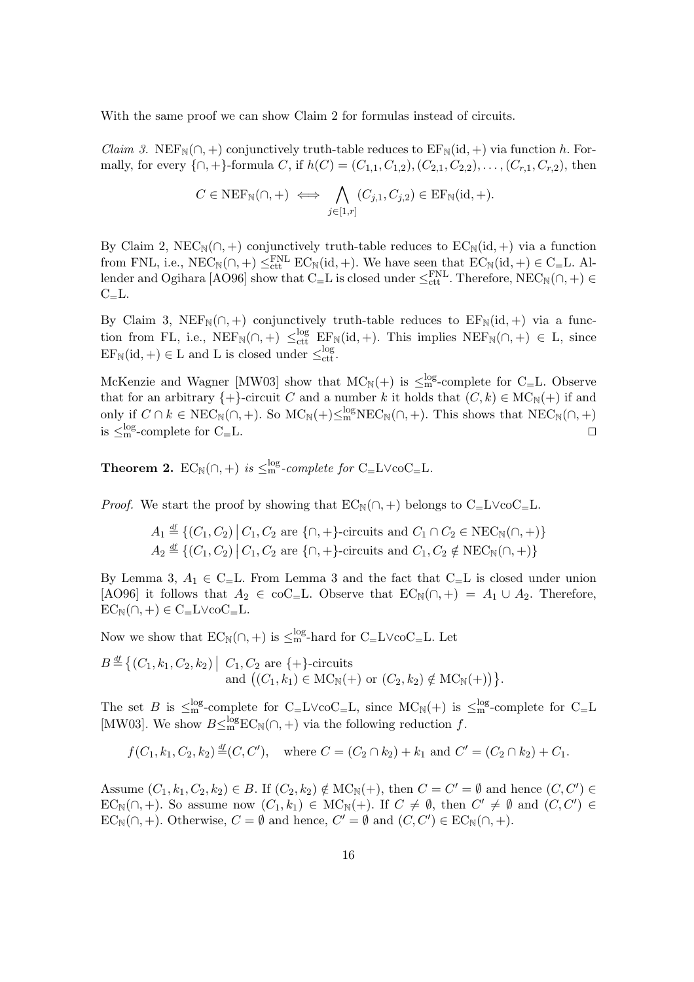With the same proof we can show Claim 2 for formulas instead of circuits.

*Claim 3.* NEF<sub>N</sub> $(\cap, +)$  conjunctively truth-table reduces to EF<sub>N</sub> $(id, +)$  via function h. Formally, for every  $\{\cap, +\}$ -formula C, if  $h(C)=(C_{1,1}, C_{1,2}), (C_{2,1}, C_{2,2}), \ldots, (C_{r,1}, C_{r,2}),$  then

$$
C \in \text{NEF}_{\mathbb{N}}(\cap, +) \iff \bigwedge_{j \in [1,r]} (C_{j,1}, C_{j,2}) \in \text{EF}_{\mathbb{N}}(\text{id}, +).
$$

By Claim 2, NEC<sub>N</sub>( $\cap$ , +) conjunctively truth-table reduces to EC<sub>N</sub>(id, +) via a function from FNL, i.e.,  $NEC_N(\cap, +) \leq_{\text{ct}}^{FNL} EC_N(\text{id}, +)$ . We have seen that  $EC_N(\text{id}, +) \in C = L$ . All-<br>londer and Osibara [AO06] show that C. L is closed under  $\leq^{FNL}$  Therefore,  $NEC_N(\cap, +) \in$ lender and Ogihara [AO96] show that C<sub>=</sub>L is closed under  $\leq_{\text{ctt}}^{\text{FNL}}$ . Therefore, NEC<sub>N</sub>(∩, +) ∈ C<sub>1</sub>  $C_{=}L$ .

By Claim 3, NEF<sub>N</sub>( $\cap$ , +) conjunctively truth-table reduces to EF<sub>N</sub>(id, +) via a function from FL, i.e.,  $NEF_N(\cap, +) \leq_{\text{ct}}^{\text{log}} EF_N(\text{id}, +)$ . This implies  $NEF_N(\cap, +) \in L$ , since  $EF_{\mathbb{N}}(\text{id}, +) \in L$  and L is closed under  $\leq_{\text{ctt}}^{\log}$ .

McKenzie and Wagner [MW03] show that  $MC_N(+)$  is  $\leq_{\text{mg}}^{\text{log}}$ -complete for  $C=L$ . Observe that for an arbitrary  $\{+\}$ -circuit C and a number k it holds that  $(C, k) \in \text{MC}_{\mathbb{N}}(+)$  if and only if  $C \cap k \in \text{NEC}_{\mathbb{N}}(\cap, +)$ . So  $\text{MC}_{\mathbb{N}}(+)\leq^{\text{log}}_{\mathbb{N}}\text{NEC}_{\mathbb{N}}(\cap, +)$ . This shows that  $\text{NEC}_{\mathbb{N}}(\cap, +)$ is  $\leq^{\log}_{m}$ -complete for C<sub>=</sub>L.

**Theorem 2.**  $EC_{\mathbb{N}}(\cap, +)$  *is*  $\leq^{\text{log}}_{\text{m}}$ *-complete for*  $C_{=}\text{L}\vee\text{co}C_{=}\text{L}$ *.* 

*Proof.* We start the proof by showing that  $EC_{\mathbb{N}}(\cap, +)$  belongs to  $C = L \vee coC = L$ .

$$
A_1 \stackrel{\text{df}}{=} \{ (C_1, C_2) \mid C_1, C_2 \text{ are } \{\cap, +\} \text{-circuits and } C_1 \cap C_2 \in \text{NEC}_{\mathbb{N}}(\cap, +) \}
$$
  

$$
A_2 \stackrel{\text{df}}{=} \{ (C_1, C_2) \mid C_1, C_2 \text{ are } \{\cap, +\} \text{-circuits and } C_1, C_2 \notin \text{NEC}_{\mathbb{N}}(\cap, +) \}
$$

By Lemma 3,  $A_1 \in C_$ . From Lemma 3 and the fact that  $C_$ L is closed under union [AO96] it follows that  $A_2 \in \text{coC}_{\equiv}$ L. Observe that  $EC_{\mathbb{N}}(\cap, +) = A_1 \cup A_2$ . Therefore,  $EC_{\mathbb{N}}(\cap, +) \in C = L \vee coC = L.$ 

Now we show that  $EC_{\mathbb{N}}(\cap,+)$  is  $\leq_{\text{m}}^{\text{log}}$ -hard for  $C_{\mathbb{N}}L\vee\text{co}C_{\mathbb{N}}L$ . Let

$$
B \stackrel{\text{df}}{=} \{ (C_1, k_1, C_2, k_2) \mid C_1, C_2 \text{ are } \{+\}\text{-circuits} \text{ and } ((C_1, k_1) \in \text{MC}_{\mathbb{N}}(+) \text{ or } (C_2, k_2) \notin \text{MC}_{\mathbb{N}}(+)) \}.
$$

The set B is  $\leq_{\text{m}}^{\text{log}}$ -complete for  $C = L \vee \text{co}C = L$ , since  $MC_N(+)$  is  $\leq_{\text{m}}^{\text{log}}$ -complete for  $C = L$ [MW03]. We show  $B \leq m^{\log} EC_N(\cap, +)$  via the following reduction f.

$$
f(C_1, k_1, C_2, k_2) \stackrel{\text{df}}{=} (C, C'),
$$
 where  $C = (C_2 \cap k_2) + k_1$  and  $C' = (C_2 \cap k_2) + C_1$ .

Assume  $(C_1, k_1, C_2, k_2) \in B$ . If  $(C_2, k_2) \notin \text{MC}_\mathbb{N}(+)$ , then  $C = C' = \emptyset$  and hence  $(C, C') \in \text{FC}$  (c) is a sequence name  $(C, k_1) \in \text{MC}$  (i) if  $C \neq \emptyset$  then  $C' \neq \emptyset$  and  $(C, C') \in$  $EC_{\mathbb{N}}(\cap, +)$ . So assume now  $(C_1, k_1) \in \mathcal{MC}_{\mathbb{N}}(+)$ . If  $C \neq \emptyset$ , then  $C' \neq \emptyset$  and  $(C, C') \in \mathcal{EC}_{\mathbb{N}}(C,+)$ . Otherwise  $C' = \emptyset$  and length  $C' = \emptyset$  and  $(C, C') \in \mathcal{EC}_{\mathbb{N}}(C,+)$ .  $EC_{\mathbb{N}}(\cap, +)$ . Otherwise,  $C = \emptyset$  and hence,  $C' = \emptyset$  and  $(C, C') \in EC_{\mathbb{N}}(\cap, +)$ .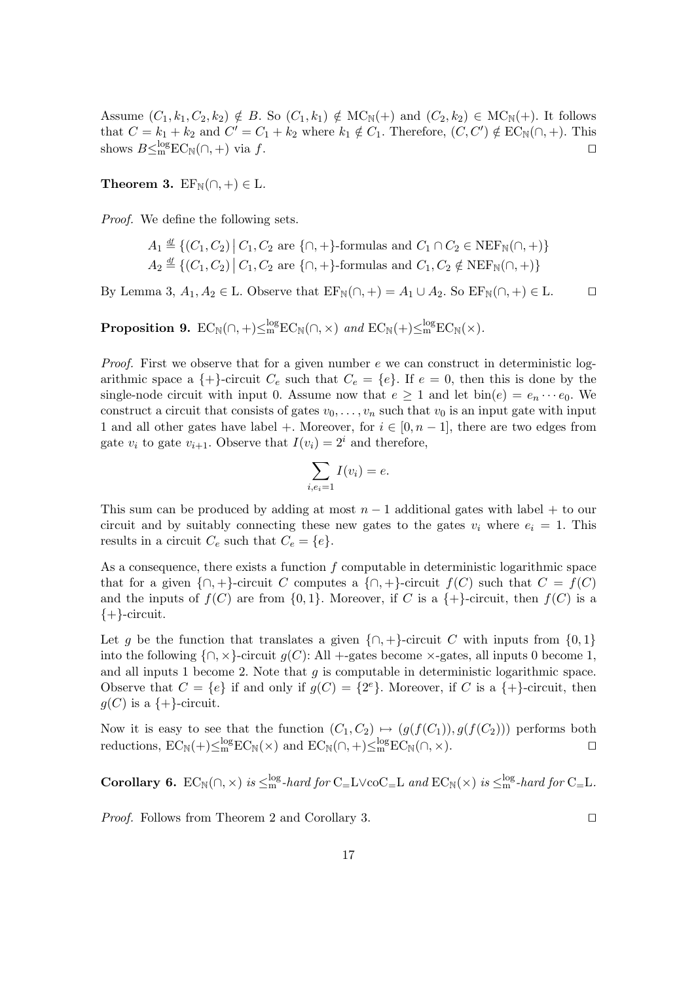Assume  $(C_1, k_1, C_2, k_2) \notin B$ . So  $(C_1, k_1) \notin \text{MC}_\mathbb{N}(+)$  and  $(C_2, k_2) \in \text{MC}_\mathbb{N}(+)$ . It follows that  $C = k_1 + k_2$  and  $C' = C_1 + k_2$  where  $k_1 \notin C_1$ . Therefore,  $(C, C') \notin EC_{\mathbb{N}}(\cap, +)$ . This shows  $B \leq m^{\log} EC_{\mathbb{N}}(\cap, +)$  via f.

**Theorem 3.**  $EF_{\mathbb{N}}(\cap, +) \in \mathbb{L}$ .

*Proof.* We define the following sets.

$$
A_1 \stackrel{\text{df}}{=} \left\{ (C_1, C_2) \, \middle| \, C_1, C_2 \text{ are } \{\cap, +\} \text{-formulas and } C_1 \cap C_2 \in \text{NEF}_{\mathbb{N}}(\cap, +) \right\}
$$
\n
$$
A_2 \stackrel{\text{df}}{=} \left\{ (C_1, C_2) \, \middle| \, C_1, C_2 \text{ are } \{\cap, +\} \text{-formulas and } C_1, C_2 \notin \text{NEF}_{\mathbb{N}}(\cap, +) \right\}
$$

By Lemma 3,  $A_1, A_2 \in L$ . Observe that  $EF_N(\cap, +) = A_1 \cup A_2$ . So  $EF_N(\cap, +) \in L$ .  $\Box$ 

**Proposition 9.**  $EC_{\mathbb{N}}(\cap, +) \leq^{\log}_{\mathbb{m}} EC_{\mathbb{N}}(\cap, \times)$  and  $EC_{\mathbb{N}}(+) \leq^{\log}_{\mathbb{m}} EC_{\mathbb{N}}(\times)$ .

*Proof.* First we observe that for a given number e we can construct in deterministic logarithmic space a  $\{+\}$ -circuit  $C_e$  such that  $C_e = \{e\}$ . If  $e = 0$ , then this is done by the single-node circuit with input 0. Assume now that  $e \geq 1$  and let  $\text{bin}(e) = e_n \cdots e_0$ . We construct a circuit that consists of gates  $v_0, \ldots, v_n$  such that  $v_0$  is an input gate with input 1 and all other gates have label +. Moreover, for  $i \in [0, n-1]$ , there are two edges from gate  $v_i$  to gate  $v_{i+1}$ . Observe that  $I(v_i)=2^i$  and therefore,

$$
\sum_{i,e_i=1} I(v_i) = e.
$$

This sum can be produced by adding at most  $n-1$  additional gates with label + to our circuit and by suitably connecting these new gates to the gates  $v_i$  where  $e_i = 1$ . This results in a circuit  $C_e$  such that  $C_e = \{e\}.$ 

As a consequence, there exists a function  $f$  computable in deterministic logarithmic space that for a given  $\{\cap, +\}$ -circuit C computes a  $\{\cap, +\}$ -circuit  $f(C)$  such that  $C = f(C)$ and the inputs of  $f(C)$  are from  $\{0,1\}$ . Moreover, if C is a  $\{+\}$ -circuit, then  $f(C)$  is a  $\{+\}$ -circuit.

Let g be the function that translates a given  $\{\cap, +\}$ -circuit C with inputs from  $\{0, 1\}$ into the following  $\{\cap, \times\}$ -circuit  $g(C)$ : All +-gates become  $\times$ -gates, all inputs 0 become 1, and all inputs 1 become 2. Note that  $g$  is computable in deterministic logarithmic space. Observe that  $C = \{e\}$  if and only if  $g(C) = \{2^e\}$ . Moreover, if C is a  $\{+\}$ -circuit, then  $g(C)$  is a  $\{+\}$ -circuit.

Now it is easy to see that the function  $(C_1, C_2) \mapsto (g(f(C_1)), g(f(C_2)))$  performs both reductions,  $EC_N(+) \leq_m^{\log} EC_N(\wedge)$  and  $EC_N(\wedge,+) \leq_m^{\log} EC_N(\wedge, \times)$ . reductions,  $EC_{\mathbb{N}}(+) \leq^{\log}_{\mathbb{M}} EC_{\mathbb{N}}(\times)$  and  $EC_{\mathbb{N}}(\cap,+) \leq^{\log}_{\mathbb{M}} EC_{\mathbb{N}}(\cap, \times)$ .

**Corollary 6.**  $EC_N(\cap, \times)$  *is*  $\leq_m^{log}$ -*hard for*  $C = L \vee coC = L$  *and*  $EC_N(\times)$  *is*  $\leq_m^{log}$ -*hard for*  $C = L$ *.* 

*Proof.* Follows from Theorem 2 and Corollary 3. □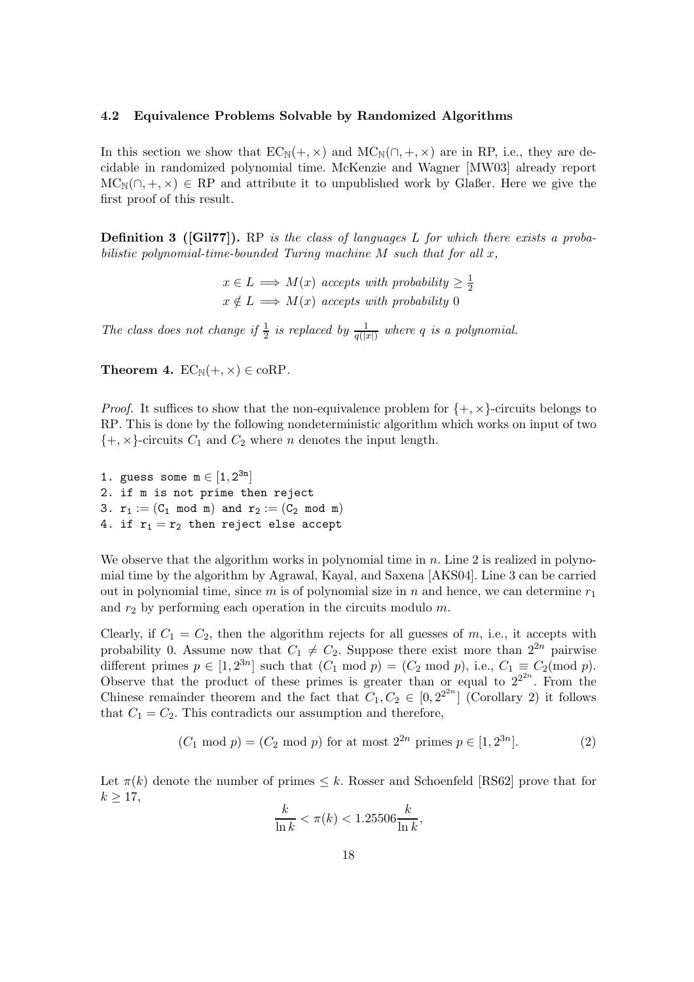#### **4.2 Equivalence Problems Solvable by Randomized Algorithms**

In this section we show that  $EC_N(+, \times)$  and  $MC_N(\cap, +, \times)$  are in RP, i.e., they are decidable in randomized polynomial time. McKenzie and Wagner [MW03] already report  $MC_N(\cap, +, \times) \in RP$  and attribute it to unpublished work by Glaßer. Here we give the first proof of this result.

**Definition 3 ([Gil77]).** RP *is the class of languages* L *for which there exists a probabilistic polynomial-time-bounded Turing machine* M *such that for all* x*,*

> $x \in L \implies M(x)$  *accepts with probability*  $\geq \frac{1}{2}$  $x \notin L \implies M(x)$  *accepts with probability* 0

The class does not change if  $\frac{1}{2}$  is replaced by  $\frac{1}{q(|x|)}$  where q is a polynomial.

**Theorem 4.**  $EC_{\mathbb{N}}(+, \times) \in \text{coRP}$ .

*Proof.* It suffices to show that the non-equivalence problem for  $\{+, \times\}$ -circuits belongs to RP. This is done by the following nondeterministic algorithm which works on input of two  $\{+, \times\}$ -circuits  $C_1$  and  $C_2$  where *n* denotes the input length.

1. guess some  $m \in [1, 2^{3n}]$ 2. if m is not prime then reject 3.  $r_1 := (C_1 \mod m)$  and  $r_2 := (C_2 \mod m)$ 4. if  $r_1 = r_2$  then reject else accept

We observe that the algorithm works in polynomial time in  $n$ . Line 2 is realized in polynomial time by the algorithm by Agrawal, Kayal, and Saxena [AKS04]. Line 3 can be carried out in polynomial time, since m is of polynomial size in n and hence, we can determine  $r_1$ and  $r_2$  by performing each operation in the circuits modulo  $m$ .

Clearly, if  $C_1 = C_2$ , then the algorithm rejects for all guesses of m, i.e., it accepts with probability 0. Assume now that  $C_1 \neq C_2$ . Suppose there exist more than  $2^{2n}$  pairwise different primes  $p \in [1, 2^{3n}]$  such that  $(C_1 \mod p) = (C_2 \mod p)$ , i.e.,  $C_1 \equiv C_2 \mod p$ . Observe that the product of these primes is greater than or equal to  $2^{2^{2n}}$ . From the Chinese remainder theorem and the fact that  $C_1, C_2 \in [0, 2^{2n}]$  (Corollary 2) it follows that  $C_1 = C_2$ . This contradicts our assumption and therefore,

$$
(C_1 \mod p) = (C_2 \mod p)
$$
 for at most  $2^{2n}$  primes  $p \in [1, 2^{3n}]$ . (2)

,

Let  $\pi(k)$  denote the number of primes  $\leq k$ . Rosser and Schoenfeld [RS62] prove that for  $k > 17$ ,

$$
\frac{k}{\ln k} < \pi(k) < 1.25506 \frac{k}{\ln k}
$$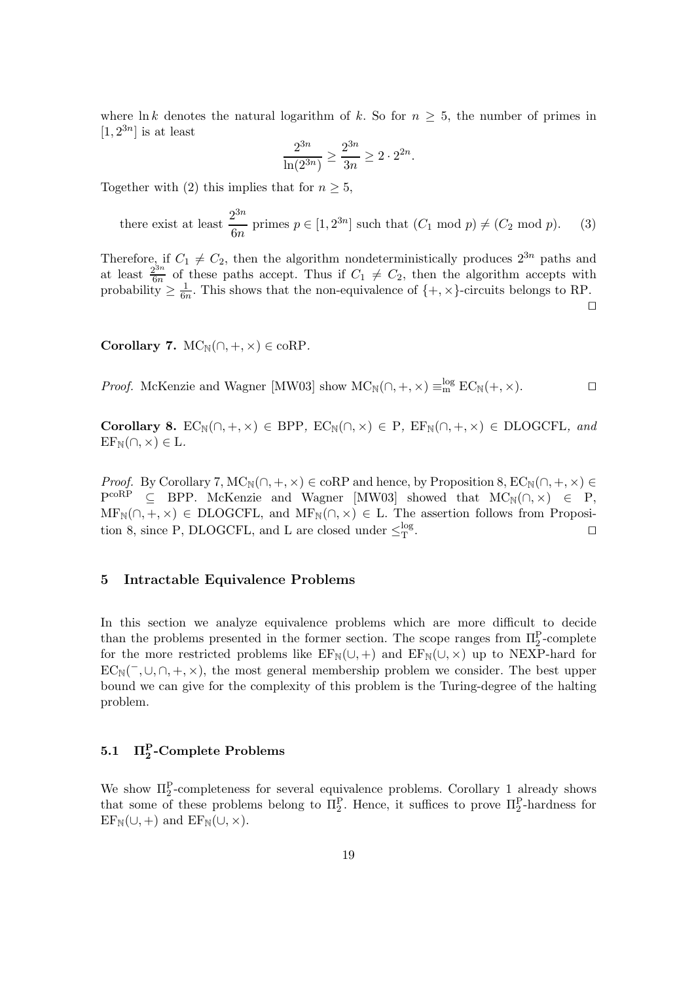where ln k denotes the natural logarithm of k. So for  $n \geq 5$ , the number of primes in  $[1, 2^{3n}]$  is at least

$$
\frac{2^{3n}}{\ln(2^{3n})} \ge \frac{2^{3n}}{3n} \ge 2 \cdot 2^{2n}.
$$

Together with (2) this implies that for  $n \geq 5$ ,

there exist at least  $\frac{2^{3n}}{6n}$  primes  $p \in [1, 2^{3n}]$  such that  $(C_1 \mod p) \neq (C_2 \mod p)$ . (3)

Therefore, if  $C_1 \neq C_2$ , then the algorithm nondeterministically produces  $2^{3n}$  paths and at least  $\frac{2^{3n}}{6n}$  of these paths accept. Thus if  $C_1 \neq C_2$ , then the algorithm accepts with probability  $\geq \frac{1}{6n}$ .

 $\Box$ 

**Corollary 7.**  $MC_N(\cap, +, \times) \in \text{coRP}$ .

*Proof.* McKenzie and Wagner [MW03] show  $MC_N(\cap, +, \times) \equiv_m^{log} EC_N(+, \times)$ .

**Corollary 8.**  $EC_N(\cap, +, \times) \in BPP$ ,  $EC_N(\cap, \times) \in P$ ,  $EF_N(\cap, +, \times) \in DLOGCFL$ , and  $EF_{\mathbb{N}}(\cap,\times)\in\mathcal{L}.$ 

*Proof.* By Corollary 7,  $MC_N(\cap, +, \times) \in \text{coRP}$  and hence, by Proposition 8,  $EC_N(\cap, +, \times) \in$  $P^{coRP} \subseteq BPP$ . McKenzie and Wagner [MW03] showed that  $MC_N(\cap, \times) \in P$ ,  $MF_N(\cap, +, \times) \in DLOGCFL$ , and  $MF_N(\cap, \times) \in L$ . The assertion follows from Proposition 8, since P, DLOGCFL, and L are closed under  $\leq_T^{\log}$ .  $T$  .  $\Box$ 

# **5 Intractable Equivalence Problems**

In this section we analyze equivalence problems which are more difficult to decide than the problems presented in the former section. The scope ranges from  $\Pi_2^P$ -complete<br>for the more restricted problems like  $\text{EF}_{\text{N}}(1+\lambda)$  and  $\text{EF}_{\text{N}}(1+\lambda)$  up to  $\text{NEXP}$  hard for for the more restricted problems like  $EF_N(\cup, +)$  and  $EF_N(\cup, \times)$  up to NEXP-hard for  $EC_{\mathbb{N}}(\neg, \cup, \cap, +, \times)$ , the most general membership problem we consider. The best upper bound we can give for the complexity of this problem is the Turing-degree of the halting problem.

# **5.1 Π<sup>P</sup> <sup>2</sup> -Complete Problems**

We show  $\Pi_2^P$ -completeness for several equivalence problems. Corollary 1 already shows<br>that some of these problems belong to  $\Pi^P$ . Hence, it suffices to prove  $\Pi^P$  bardness for that some of these problems belong to  $\Pi_2^P$ . Hence, it suffices to prove  $\Pi_2^P$ -hardness for  $\text{EF}_{\text{ex}}(1+\lambda)$  and  $\text{EF}_{\text{ex}}(1+\lambda)$  $EF_N(\cup,+)$  and  $EF_N(\cup, \times)$ .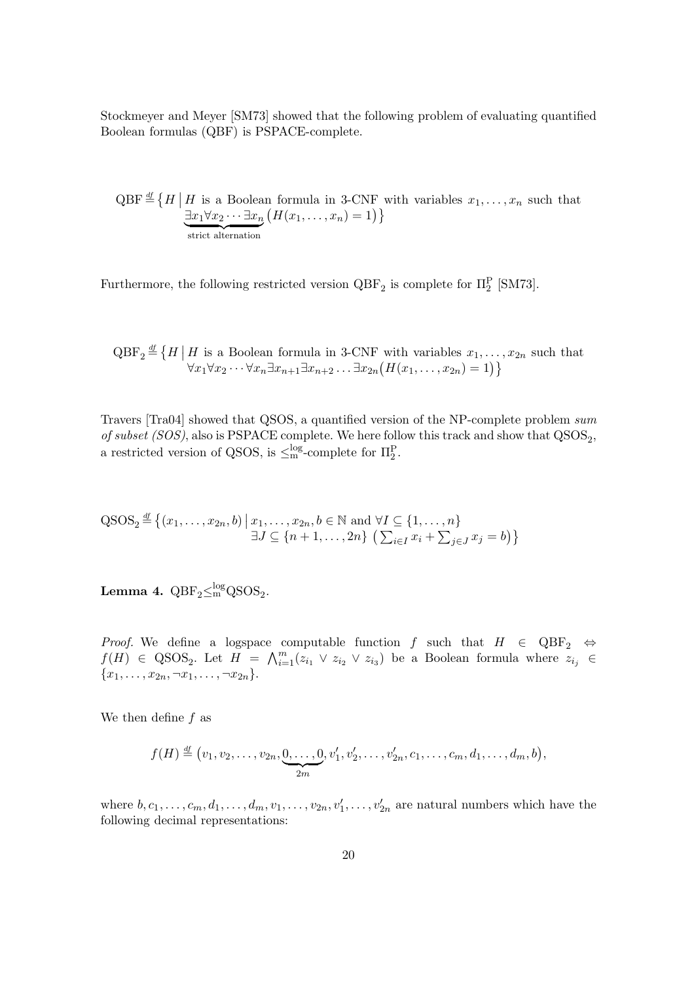Stockmeyer and Meyer [SM73] showed that the following problem of evaluating quantified Boolean formulas (QBF) is PSPACE-complete.

 $QBF \stackrel{\text{df}}{=} \left\{ H \middle| H \text{ is a Boolean formula in 3-CNF with variables } x_1, \ldots, x_n \text{ such that } \right\}$  $\exists x_1 \forall x_2 \cdots \exists x_n$  $(H(x_1,...,x_n)=1)$ 

Furthermore, the following restricted version  $QBF_2$  is complete for  $\Pi_2^P$  [SM73].

 $QBF_2$  $\stackrel{df}{=} \{H \mid H \text{ is a Boolean formula in 3-CNF with variables } x_1, \ldots, x_{2n} \text{ such that }$  $\forall x_1 \forall x_2 \cdots \forall x_n \exists x_{n+1} \exists x_{n+2} \ldots \exists x_{2n} (H(x_1, \ldots, x_{2n}) = 1) \}$ 

Travers [Tra04] showed that QSOS, a quantified version of the NP-complete problem *sum of subset (SOS)*, also is PSPACE complete. We here follow this track and show that  $QSOS<sub>2</sub>$ , a restricted version of QSOS, is  $\leq^{\text{log}}_{\text{m}}$ -complete for  $\Pi_2^P$ .

$$
\operatorname{QSOS}_2 \stackrel{\text{df}}{=} \{(x_1, \ldots, x_{2n}, b) \mid x_1, \ldots, x_{2n}, b \in \mathbb{N} \text{ and } \forall I \subseteq \{1, \ldots, n\}
$$
  

$$
\exists J \subseteq \{n+1, \ldots, 2n\} \left(\sum_{i \in I} x_i + \sum_{j \in J} x_j = b\right)\}
$$

**Lemma 4.**  $QBF_2 \leq m^{\log} QSOS_2$ .

*Proof.* We define a logspace computable function f such that  $H \in QBF_2 \Leftrightarrow$  $f(H) \in \text{QSOS}_2$ . Let  $H = \bigwedge_{i=1}^m (z_{i_1} \vee z_{i_2} \vee z_{i_3})$  be a Boolean formula where  $z_{i_j} \in$  ${x_1, \ldots, x_{2n}, \neg x_1, \ldots, \neg x_{2n}}.$ 

We then define  $f$  as

$$
f(H) \stackrel{\text{df}}{=} (v_1, v_2, \dots, v_{2n}, \underbrace{0, \dots, 0}_{2m}, v'_1, v'_2, \dots, v'_{2n}, c_1, \dots, c_m, d_1, \dots, d_m, b),
$$

where  $b, c_1, \ldots, c_m, d_1, \ldots, d_m, v_1, \ldots, v_{2n}, v'_1, \ldots, v'_{2n}$  are natural numbers which have the following decimal representations: following decimal representations: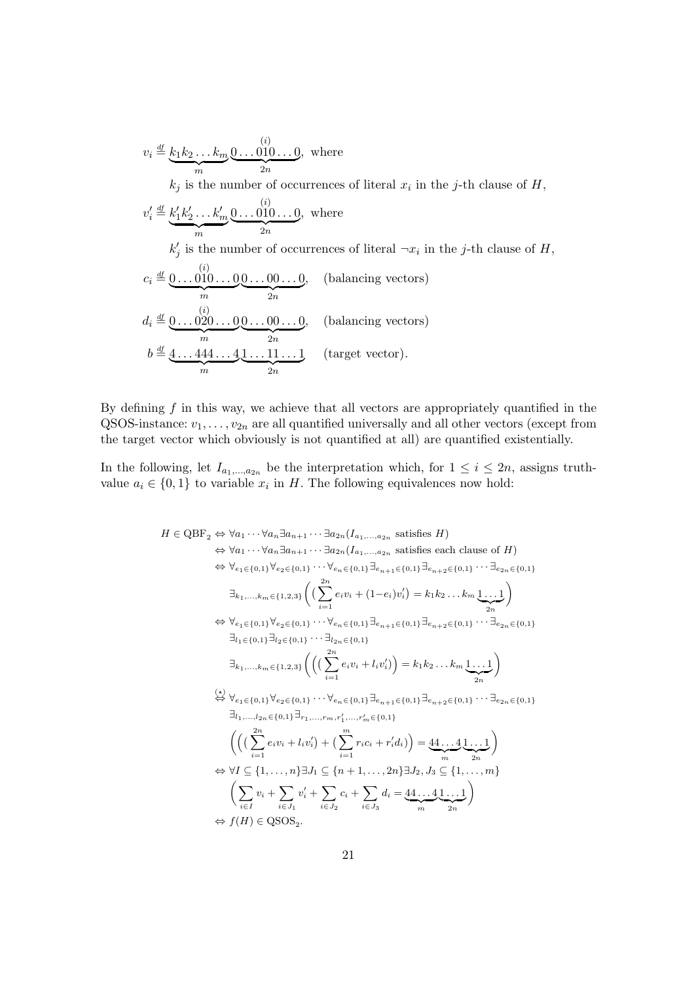$$
v_i \stackrel{\text{df}}{=} \underbrace{k_1 k_2 \dots k_m}_{m} \underbrace{0 \dots 010 \dots 0}_{2n}, \text{ where}
$$
\n
$$
k_j \text{ is the number of occurrences of literal } x_i \text{ in the } j\text{-th clause of } H,
$$
\n
$$
v_i' \stackrel{\text{df}}{=} \underbrace{k_1' k_2' \dots k_m' \underbrace{0 \dots 010 \dots 0}_{2n}, \text{ where}
$$
\n
$$
k_j' \text{ is the number of occurrences of literal } \neg x_i \text{ in the } j\text{-th clause of } H,
$$
\n
$$
c_i \stackrel{\text{df}}{=} \underbrace{0 \dots 010 \dots 0}_{m} \underbrace{0 \dots 00 \dots 0}_{2n}, \text{ (balancing vectors)}
$$
\n
$$
d_i \stackrel{\text{df}}{=} \underbrace{0 \dots 020 \dots 0}_{m} \underbrace{0 \dots 00 \dots 0}_{2n}, \text{ (balancing vectors)}
$$
\n
$$
b \stackrel{\text{df}}{=} \underbrace{4 \dots 444 \dots 4}_{m} \underbrace{1 \dots 11 \dots 1}_{2n} \text{ (target vector)}.
$$

By defining  $f$  in this way, we achieve that all vectors are appropriately quantified in the QSOS-instance:  $v_1, \ldots, v_{2n}$  are all quantified universally and all other vectors (except from the target vector which obviously is not quantified at all) are quantified existentially.

In the following, let  $I_{a_1,...,a_{2n}}$  be the interpretation which, for  $1 \leq i \leq 2n$ , assigns truthvalue  $a_i \in \{0, 1\}$  to variable  $x_i$  in H. The following equivalences now hold:

$$
H \in \text{QBF}_{2} \Leftrightarrow \forall a_{1} \cdots \forall a_{n} \exists a_{n+1} \cdots \exists a_{2n} (I_{a_{1},...,a_{2n}} \text{ satisfies } H)
$$
  
\n
$$
\Leftrightarrow \forall a_{1} \cdots \forall a_{n} \exists a_{n+1} \cdots \exists a_{2n} (I_{a_{1},...,a_{2n}} \text{ satisfies each clause of } H)
$$
  
\n
$$
\Leftrightarrow \forall e_{1} \in \{0,1\} \forall e_{2} \in \{0,1\} \cdots \forall e_{n} \in \{0,1\} \exists e_{n+1} \in \{0,1\} \exists e_{n+2} \in \{0,1\} \cdots \exists e_{2n} \in \{0,1\}
$$
  
\n
$$
\exists_{k_{1},...,k_{m} \in \{1,2,3\}} \left( \left( \sum_{i=1}^{2n} e_{i} v_{i} + (1-e_{i}) v_{i}' \right) = k_{1} k_{2} \dots k_{m} \underbrace{1 \dots 1}_{2n} \right)
$$
  
\n
$$
\Leftrightarrow \forall e_{1} \in \{0,1\} \forall e_{2} \in \{0,1\} \cdots \forall e_{n} \in \{0,1\} \exists e_{n+1} \in \{0,1\} \exists e_{n+2} \in \{0,1\} \cdots \exists e_{2n} \in \{0,1\}
$$
  
\n
$$
\exists_{l_{1} \in \{0,1\} \exists l_{2} \in \{0,1\}} \cdots \exists l_{2n} \in \{0,1\}
$$
  
\n
$$
\exists_{k_{1},...,k_{m} \in \{1,2,3\}} \left( \left( \left( \sum_{i=1}^{2n} e_{i} v_{i} + l_{i} v_{i}' \right) \right) = k_{1} k_{2} \dots k_{m} \underbrace{1 \dots 1}_{2n} \right)
$$
  
\n
$$
\Leftrightarrow \forall e_{1} \in \{0,1\} \forall e_{2} \in \{0,1\} \cdots \forall e_{n} \in \{0,1\} \exists e_{n+1} \in \{0,1\} \exists e_{n+2} \in \{0,1\} \cdots \exists e_{2n} \in \{0,1\}
$$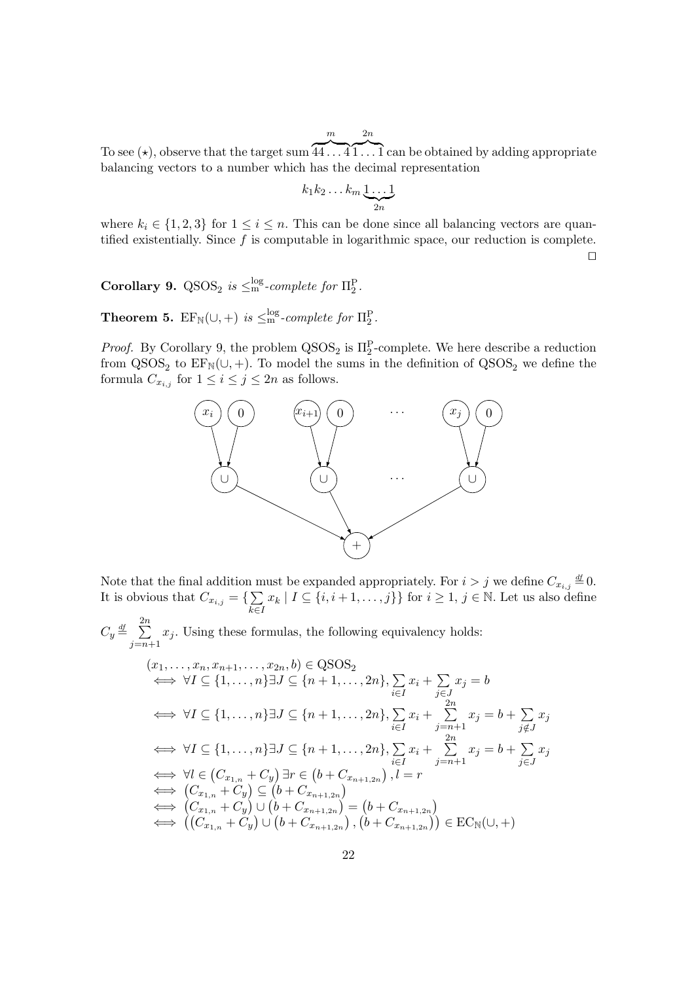m

To see ( $\star$ ), observe that the target sum  $\overbrace{44...4}^{m}$   $\overbrace{1...1}^{2n}$  can be obtained by adding appropriate balancing vectors to a number which has the decimal representation

$$
k_1 k_2 \dots k_m \underbrace{1 \dots 1}_{2n}
$$

where  $k_i \in \{1, 2, 3\}$  for  $1 \leq i \leq n$ . This can be done since all balancing vectors are quantified existentially. Since  $f$  is computable in logarithmic space, our reduction is complete.  $\Box$ 

**Corollary 9.** QSOS<sub>2</sub> *is*  $\leq$ <sup>nog</sup>-complete for  $\Pi_2^P$ .

**Theorem 5.**  $\text{EF}_{\mathbb{N}}(\cup, +)$  *is*  $\leq^{\text{log}}_{\text{m}}$ *-complete for*  $\Pi_2^P$ *.* 

*Proof.* By Corollary 9, the problem  $QSOS_2$  is  $\Pi_2^P$ -complete. We here describe a reduction from  $OSOS_2$  to  $FE_2(1, 1)$ . To model the sums in the definition of  $OSOS_2$  we define the from  $QSOS<sub>2</sub>$  to  $EF<sub>N</sub>(U, +)$ . To model the sums in the definition of  $QSOS<sub>2</sub>$  we define the formula  $C = \text{for } 1 \le i \le i \le 2$  as follows formula  $C_{x_{i,j}}$  for  $1 \leq i \leq j \leq 2n$  as follows.



Note that the final addition must be expanded appropriately. For  $i > j$  we define  $C_{x_{i,j}} \stackrel{df}{=} 0$ . It is obvious that  $C_{x_{i,j}} = \{ \sum_{j}$  $k \in I$  $x_k | I \subseteq \{i, i+1, \ldots, j\}\}\$ for  $i \geq 1, j \in \mathbb{N}$ . Let us also define

$$
C_y \stackrel{\text{df}}{=} \sum_{j=n+1}^{2n} x_j
$$
. Using these formulas, the following equivalency holds:

$$
(x_1, \ldots, x_n, x_{n+1}, \ldots, x_{2n}, b) \in QSOS_2
$$
  
\n
$$
\iff \forall I \subseteq \{1, \ldots, n\} \exists J \subseteq \{n+1, \ldots, 2n\}, \sum_{i \in I} x_i + \sum_{j \in J} x_j = b
$$
  
\n
$$
\iff \forall I \subseteq \{1, \ldots, n\} \exists J \subseteq \{n+1, \ldots, 2n\}, \sum_{i \in I} x_i + \sum_{j=n+1}^{2n} x_j = b + \sum_{j \notin J} x_j
$$
  
\n
$$
\iff \forall I \subseteq \{1, \ldots, n\} \exists J \subseteq \{n+1, \ldots, 2n\}, \sum_{i \in I} x_i + \sum_{j=n+1}^{2n} x_j = b + \sum_{j \in J} x_j
$$
  
\n
$$
\iff \forall I \in (C_{x_{1,n}} + C_y) \exists r \in (b + C_{x_{n+1,2n}}), l = r
$$
  
\n
$$
\iff (C_{x_{1,n}} + C_y) \subseteq (b + C_{x_{n+1,2n}})
$$
  
\n
$$
\iff (C_{x_{1,n}} + C_y) \cup (b + C_{x_{n+1,2n}}) = (b + C_{x_{n+1,2n}})
$$
  
\n
$$
\iff ((C_{x_{1,n}} + C_y) \cup (b + C_{x_{n+1,2n}}), (b + C_{x_{n+1,2n}})) \in EC_N(\cup, +)
$$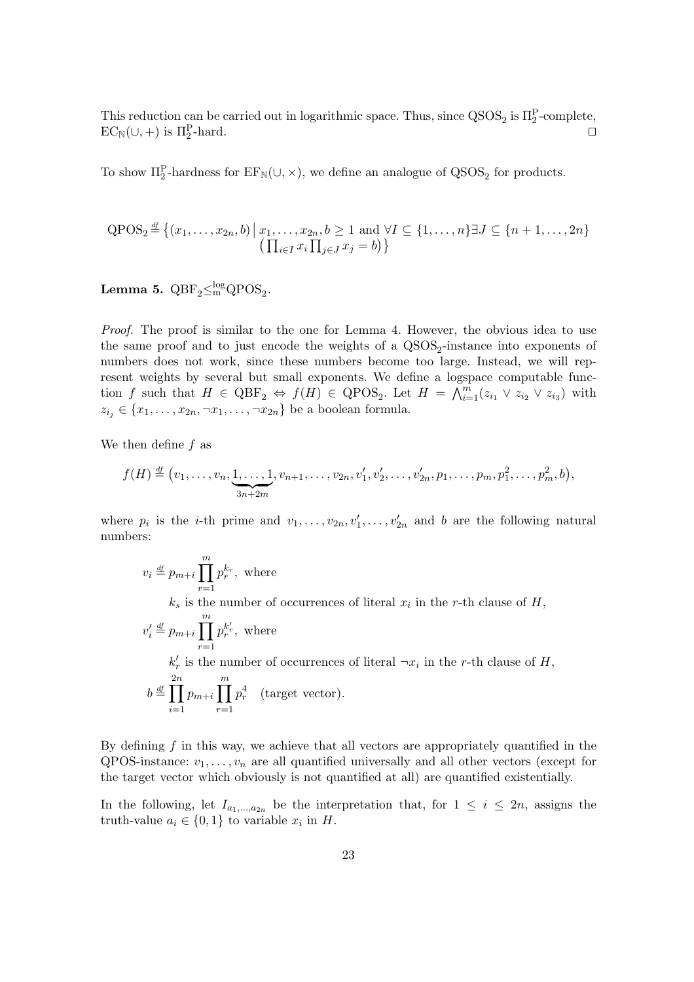This reduction can be carried out in logarithmic space. Thus, since  $\text{QSOS}_2$  is  $\Pi_2^P$ -complete,<br> $\text{FC}_{\text{N}}(1+1)$  is  $\Pi^P$  hard  $EC_N(\cup,+)$  is  $\Pi_2^P$ -hard.  $\mathbb{P}_{2}$ -hard.

To show  $\Pi_2^P$ -hardness for  $\text{EF}_{\mathbb{N}}(\cup, \times)$ , we define an analogue of  $\text{QSOS}_2$  for products.

$$
\text{QPOS}_2 \stackrel{\text{df}}{=} \{(x_1, \ldots, x_{2n}, b) \mid x_1, \ldots, x_{2n}, b \ge 1 \text{ and } \forall I \subseteq \{1, \ldots, n\} \exists J \subseteq \{n+1, \ldots, 2n\}
$$

$$
\left(\prod_{i \in I} x_i \prod_{j \in J} x_j = b\right)\}
$$

Lemma 5.  $QBF_2 \leq m^2QPOS_2$ .

*Proof.* The proof is similar to the one for Lemma 4. However, the obvious idea to use the same proof and to just encode the weights of a QSOS<sub>2</sub>-instance into exponents of<br>numbers does not work, since these numbers become too large. Instead, we will rep numbers does not work, since these numbers become too large. Instead, we will represent weights by several but small exponents. We define a logspace computable function f such that  $H \in \text{QBF}_2 \Leftrightarrow f(H) \in \text{QPOS}_2$ . Let  $H = \bigwedge_{i=1}^m (z_{i_1} \vee z_{i_2} \vee z_{i_3})$  with  $z_{i_j} \in \{x_1,\ldots,x_{2n},\neg x_1,\ldots,\neg x_{2n}\}$  be a boolean formula.

We then define f as

$$
f(H) \stackrel{\text{df}}{=} (v_1, \ldots, v_n, \underbrace{1, \ldots, 1}_{3n+2m}, v_{n+1}, \ldots, v_{2n}, v'_1, v'_2, \ldots, v'_{2n}, p_1, \ldots, p_m, p_1^2, \ldots, p_m^2, b),
$$

where  $p_i$  is the *i*-th prime and  $v_1, \ldots, v_{2n}, v'_1, \ldots, v'_{2n}$  and *b* are the following natural numbers. numbers:

$$
v_i \stackrel{\text{df}}{=} p_{m+i} \prod_{r=1}^m p_r^{k_r}, \text{ where}
$$
\n
$$
k_s \text{ is the number of occurrences of literal } x_i \text{ in the } r\text{-th clause of } H,
$$
\n
$$
v'_i \stackrel{\text{df}}{=} p_{m+i} \prod_{r=1}^m p_r^{k_r'}, \text{ where}
$$
\n
$$
k'_r \text{ is the number of occurrences of literal } \neg x_i \text{ in the } r\text{-th clause of } H,
$$
\n
$$
b \stackrel{\text{df}}{=} \prod_{i=1}^{2n} p_{m+i} \prod_{r=1}^m p_r^4 \quad \text{(target vector)}.
$$

By defining  $f$  in this way, we achieve that all vectors are appropriately quantified in the QPOS-instance:  $v_1, \ldots, v_n$  are all quantified universally and all other vectors (except for the target vector which obviously is not quantified at all) are quantified existentially.

In the following, let  $I_{a_1,...,a_{2n}}$  be the interpretation that, for  $1 \leq i \leq 2n$ , assigns the truth-value  $a_i \in \{0,1\}$  to variable  $x_i$  in H.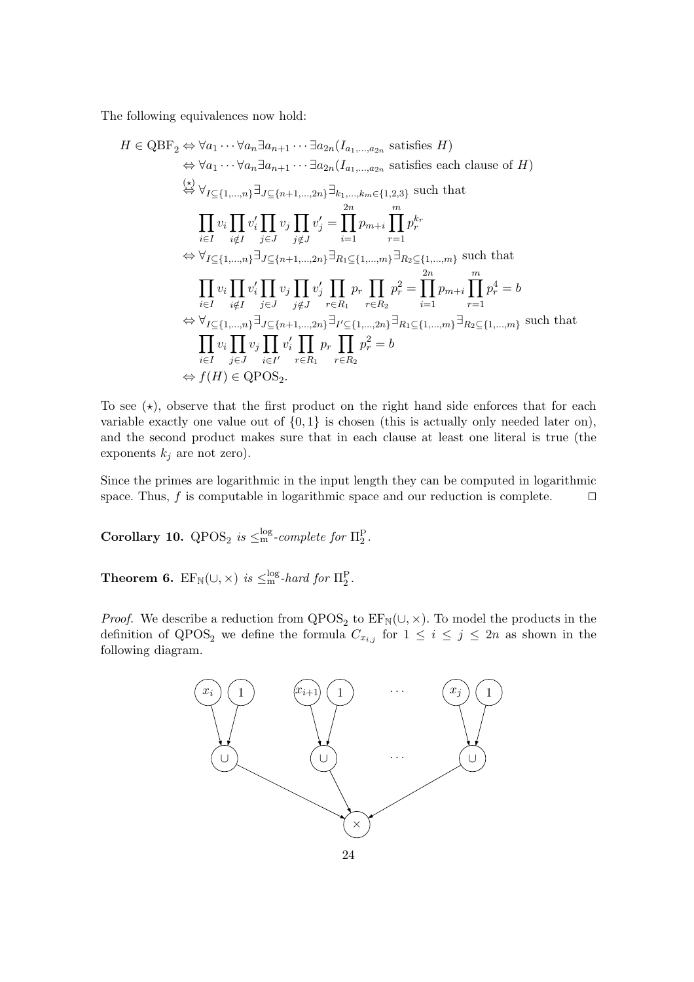The following equivalences now hold:

$$
H \in \text{QBF}_{2} \Leftrightarrow \forall a_{1} \cdots \forall a_{n} \exists a_{n+1} \cdots \exists a_{2n} (I_{a_{1},...,a_{2n}} \text{ satisfies } H)
$$
  
\n
$$
\Leftrightarrow \forall a_{1} \cdots \forall a_{n} \exists a_{n+1} \cdots \exists a_{2n} (I_{a_{1},...,a_{2n}} \text{ satisfies each clause of } H)
$$
  
\n
$$
\Leftrightarrow \forall_{I \subseteq \{1,...,n\}} \exists_{J \subseteq \{n+1,...,2n\}} \exists_{k_{1},...,k_{m} \in \{1,2,3\}} \text{ such that}
$$
  
\n
$$
\prod_{i \in I} v_{i} \prod_{i \notin I} v_{j} \prod_{j \notin J} v_{j} \prod_{i=1}^{2n} p_{m+i} \prod_{r=1}^{m} p_{r}^{k_{r}}
$$
  
\n
$$
\Leftrightarrow \forall_{I \subseteq \{1,...,n\}} \exists_{J \subseteq \{n+1,...,2n\}} \exists_{R_{1} \subseteq \{1,...,m\}} \exists_{R_{2} \subseteq \{1,...,m\}} \text{ such that}
$$
  
\n
$$
\prod_{i \in I} v_{i} \prod_{i \notin I} v_{j} \prod_{j \in J} v_{j} \prod_{r \in R_{1}} p_{r} \prod_{r \in R_{2}} p_{r}^{2} = \prod_{i=1}^{2n} p_{m+i} \prod_{r=1}^{m} p_{r}^{4} = b
$$
  
\n
$$
\Leftrightarrow \forall_{I \subseteq \{1,...,n\}} \exists_{J \subseteq \{n+1,...,2n\}} \exists_{I \subseteq \{1,...,2n\}} \exists_{R_{1} \subseteq \{1,...,m\}} \exists_{R_{2} \subseteq \{1,...,m\}} \text{ such that}
$$
  
\n
$$
\prod_{i \in I} v_{i} \prod_{j \in J} v_{j} \prod_{i \in I'} p_{r} \prod_{r \in R_{2}} p_{r}^{2} = b
$$
  
\n
$$
\Leftrightarrow f(H) \in \text{QPOS}_{2}.
$$

To see  $(\star)$ , observe that the first product on the right hand side enforces that for each variable exactly one value out of  $\{0, 1\}$  is chosen (this is actually only needed later on), and the second product makes sure that in each clause at least one literal is true (the exponents  $k_i$  are not zero).

Since the primes are logarithmic in the input length they can be computed in logarithmic space. Thus,  $f$  is computable in logarithmic space and our reduction is complete.  $\Box$ 

**Corollary 10.** QPOS<sub>2</sub> *is*  $\leq$ <sup>nog</sup>-complete for  $\Pi_2^P$ .

**Theorem 6.**  $EF_N(\cup, \times)$  *is*  $\leq_m^{log}$ *-hard for*  $\Pi_2^P$ *.* 

*Proof.* We describe a reduction from  $QPOS_2$  to  $EF_N(\cup, \times)$ . To model the products in the definition of  $QPOS_2$  we define the formula  $C$  for  $1 \leq i \leq i \leq 2n$  as shown in the definition of  $QPOS_2$  we define the formula  $C_{x_{i,j}}$  for  $1 \leq i \leq j \leq 2n$  as shown in the following diagram following diagram.

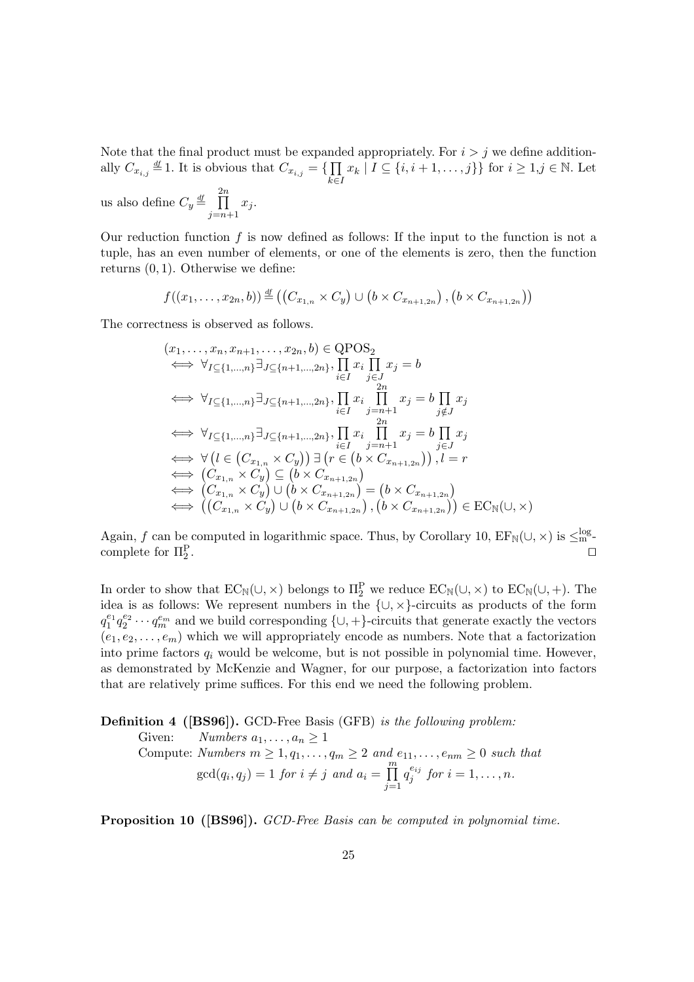Note that the final product must be expanded appropriately. For  $i>j$  we define additionally  $C_{x_{i,j}} \stackrel{\text{df}}{=} 1$ . It is obvious that  $C_{x_{i,j}} = \{ \prod$  $k \in I$  $x_k | I \subseteq \{i, i+1, \ldots, j\} \}$  for  $i \geq 1, j \in \mathbb{N}$ . Let us also define  $C_y \stackrel{df}{=} \prod^{2n}$  $j=n+1$  $x_j$ .

Our reduction function f is now defined as follows: If the input to the function is not a tuple, has an even number of elements, or one of the elements is zero, then the function returns  $(0, 1)$ . Otherwise we define:

$$
f((x_1,\ldots,x_{2n},b)) \stackrel{\mathrm{df}}{=} ((C_{x_{1,n}} \times C_y) \cup (b \times C_{x_{n+1,2n}}), (b \times C_{x_{n+1,2n}}))
$$

The correctness is observed as follows.

$$
(x_1, \ldots, x_n, x_{n+1}, \ldots, x_{2n}, b) \in QPOS_2
$$
  
\n
$$
\iff \forall_{I \subseteq \{1, \ldots, n\}} \exists_{J \subseteq \{n+1, \ldots, 2n\}}, \prod_{i \in I} x_i \prod_{j \in J} x_j = b
$$
  
\n
$$
\iff \forall_{I \subseteq \{1, \ldots, n\}} \exists_{J \subseteq \{n+1, \ldots, 2n\}}, \prod_{i \in I} x_i \prod_{j=n+1}^{2n} x_j = b \prod_{j \notin J} x_j
$$
  
\n
$$
\iff \forall_{I \subseteq \{1, \ldots, n\}} \exists_{J \subseteq \{n+1, \ldots, 2n\}}, \prod_{i \in I} x_i \prod_{j=n+1}^{2n} x_j = b \prod_{j \in J} x_j
$$
  
\n
$$
\iff \forall (l \in (C_{x_{1,n}} \times C_y)) \exists (r \in (b \times C_{x_{n+1,2n}})) , l = r
$$
  
\n
$$
\iff (C_{x_{1,n}} \times C_y) \subseteq (b \times C_{x_{n+1,2n}})
$$
  
\n
$$
\iff (C_{x_{1,n}} \times C_y) \cup (b \times C_{x_{n+1,2n}}) = (b \times C_{x_{n+1,2n}})
$$
  
\n
$$
\iff ((C_{x_{1,n}} \times C_y) \cup (b \times C_{x_{n+1,2n}}), (b \times C_{x_{n+1,2n}})) \in EC_N(\cup, \times)
$$

Again, f can be computed in logarithmic space. Thus, by Corollary 10,  $EF_N(\cup, \times)$  is  $\leq_m^{log}$ <br>complete for  $\Pi^P$ complete for  $\Pi_2^{\rm P}$ .  $\mathbb{Z}$ .

In order to show that  $EC_{\mathbb{N}}(\cup, \times)$  belongs to  $\Pi_2^P$  we reduce  $EC_{\mathbb{N}}(\cup, \times)$  to  $EC_{\mathbb{N}}(\cup, +)$ . The idea is as follows: We represent numbers in the  $\{\cup, \times\}$ -circuits as products of the form  $q_1^{e_1} q_2^{e_2} \cdots q_m^{e_m}$  and we build corresponding  $\{\cup, +\}$ -circuits that generate exactly the vectors  $(e_1, e_2, \ldots, e_m)$  which we will appropriately encode as numbers. Note that a factorization into prime factors  $q_i$  would be welcome, but is not possible in polynomial time. However, as demonstrated by McKenzie and Wagner, for our purpose, a factorization into factors that are relatively prime suffices. For this end we need the following problem.

**Definition 4 ([BS96]).** GCD-Free Basis (GFB) *is the following problem:* Given: *Numbers*  $a_1, \ldots, a_n \geq 1$ <br>Compute: *Numbers*  $m > 1$ , c Compute: *Numbers*  $m \geq 1, q_1, \ldots, q_m \geq 2$  and  $e_{11}, \ldots, e_{nm} \geq 0$  such that  $gcd(q_i, q_j) = 1$  *for*  $i \neq j$  *and*  $a_i = \prod_{i=1}^{m}$  $j=1$  $q_j^{e_{ij}}$  for  $i = 1, ..., n$ .

**Proposition 10 ([BS96]).** *GCD-Free Basis can be computed in polynomial time.*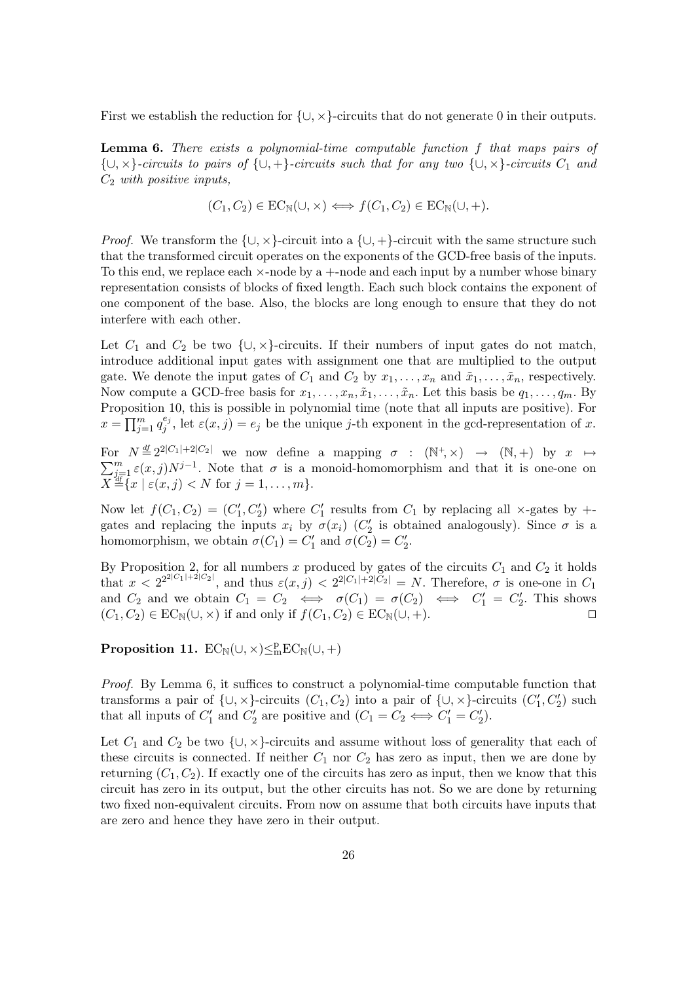First we establish the reduction for  $\{ \cup, \times \}$ -circuits that do not generate 0 in their outputs.

**Lemma 6.** *There exists a polynomial-time computable function* f *that maps pairs of* {∪, ×}*-circuits to pairs of* {∪, <sup>+</sup>}*-circuits such that for any two* {∪, ×}*-circuits* <sup>C</sup>1 *and* <sup>C</sup>2 *with positive inputs,*

$$
(C_1, C_2) \in EC_N(\cup, \times) \iff f(C_1, C_2) \in EC_N(\cup, +).
$$

*Proof.* We transform the  $\{\cup, \times\}$ -circuit into a  $\{\cup, +\}$ -circuit with the same structure such that the transformed circuit operates on the exponents of the GCD-free basis of the inputs. To this end, we replace each  $\times$ -node by a  $+$ -node and each input by a number whose binary representation consists of blocks of fixed length. Each such block contains the exponent of one component of the base. Also, the blocks are long enough to ensure that they do not interfere with each other.

Let  $C_1$  and  $C_2$  be two  $\{\cup, \times\}$ -circuits. If their numbers of input gates do not match, introduce additional input gates with assignment one that are multiplied to the output gate. We denote the input gates of  $C_1$  and  $C_2$  by  $x_1, \ldots, x_n$  and  $\tilde{x}_1, \ldots, \tilde{x}_n$ , respectively. Now compute a GCD-free basis for  $x_1, \ldots, x_n, \tilde{x}_1, \ldots, \tilde{x}_n$ . Let this basis be  $q_1, \ldots, q_m$ . By Proposition 10, this is possible in polynomial time (note that all inputs are positive). For  $x = \prod_{j=1}^{m} q_j^{e_j}$ , let  $\varepsilon(x, j) = e_j$  be the unique j-th exponent in the gcd-representation of x.

For  $N \stackrel{\text{df}}{=} 2^{2|C_1|+2|C_2|}$  we now define a mapping  $\sigma : (\mathbb{N}^+, \times) \to (\mathbb{N}, +)$  by  $x \mapsto \sum_{i=1}^m \varepsilon(x, j) N^{j-1}$ . Note that  $\sigma$  is a monoid-homomorphism and that it is one-one on  $\sum_{j=1}^{m} \varepsilon(x, j) N^{j-1}$ . Note that  $\sigma$  is a monoid-homomorphism and that it is one-one on  $X \stackrel{\text{df}}{=} \{x \mid \varepsilon(x, j) \leq N \text{ for } j = 1, ..., m\}.$ 

Now let  $f(C_1, C_2) = (C'_1, C'_2)$  where  $C'_1$  results from  $C_1$  by replacing all  $\times$ -gates by  $+$ -gates and replacing the inputs  $x$ , by  $\sigma(x)$  (C' is obtained analogously). Since  $\sigma$  is a gates and replacing the inputs  $x_i$  by  $\sigma(x_i)$  ( $C'_2$  is obtained analogously). Since  $\sigma$  is a<br>homomorphism we obtain  $\sigma(C_i) - C'$  and  $\sigma(C_i) - C'$ homomorphism, we obtain  $\sigma(C_1) = C'_1$  and  $\sigma(C_2) = C'_2$ .

By Proposition 2, for all numbers x produced by gates of the circuits  $C_1$  and  $C_2$  it holds<br>that  $x < 2^{2^{2|C_1|+2|C_2|}}$ , and thus  $\varepsilon(x, j) < 2^{2|C_1|+2|C_2|} = N$ . Therefore,  $\sigma$  is one-one in  $C_1$ <br>and  $C_2$  and we alt and  $C_2$  and we obtain  $C_1 = C_2 \iff \sigma(C_1) = \sigma(C_2) \iff C_1' = C_2'$ . This shows  $(C, C_2) \in \text{EC}_2(\square \times)$  if and only if  $f(C, C_2) \in \text{EC}_2(\square \times)$  $(C_1, C_2) \in EC_N(\cup, \times)$  if and only if  $f(C_1, C_2) \in EC_N(\cup, +)$ .

**Proposition 11.**  $EC_{\mathbb{N}}(\cup, \times) \leq_{\mathfrak{m}}^{\mathfrak{p}} EC_{\mathbb{N}}(\cup, +)$ 

*Proof.* By Lemma 6, it suffices to construct a polynomial-time computable function that transforms a pair of  $\{\cup, \times\}$ -circuits  $(C_1, C_2)$  into a pair of  $\{\cup, \times\}$ -circuits  $(C'_1, C'_2)$  such that all inputs of  $C'$  and  $C'$  are positive and  $(C_2, C_3 \leftrightarrow C' - C')$ that all inputs of  $C'_1$  and  $C'_2$  are positive and  $(C_1 = C_2 \iff C'_1 = C'_2)$ .

Let  $C_1$  and  $C_2$  be two  $\{\cup, \times\}$ -circuits and assume without loss of generality that each of these circuits is connected. If neither  $C_1$  nor  $C_2$  has zero as input, then we are done by returning  $(C_1, C_2)$ . If exactly one of the circuits has zero as input, then we know that this circuit has zero in its output, but the other circuits has not. So we are done by returning two fixed non-equivalent circuits. From now on assume that both circuits have inputs that are zero and hence they have zero in their output.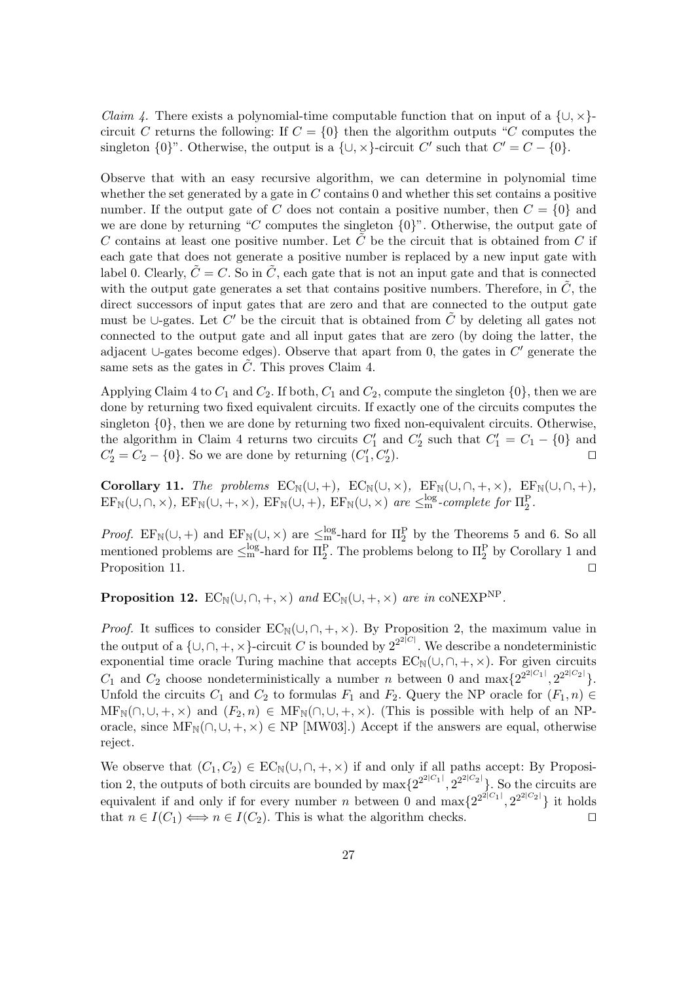*Claim 4.* There exists a polynomial-time computable function that on input of a  $\{\cup, \times\}$ circuit C returns the following: If  $C = \{0\}$  then the algorithm outputs "C computes the singleton  $\{0\}$ ". Otherwise, the output is a  $\{\cup, \times\}$ -circuit C' such that  $C' = C - \{0\}$ .

Observe that with an easy recursive algorithm, we can determine in polynomial time whether the set generated by a gate in  $C$  contains 0 and whether this set contains a positive number. If the output gate of C does not contain a positive number, then  $C = \{0\}$  and we are done by returning "C computes the singleton  $\{0\}$ ". Otherwise, the output gate of C contains at least one positive number. Let C be the circuit that is obtained from C if each gate that does not generate a positive number is replaced by a new input gate with label 0. Clearly,  $\tilde{C} = C$ . So in  $\tilde{C}$ , each gate that is not an input gate and that is connected with the output gate generates a set that contains positive numbers. Therefore, in  $\tilde{C}$ , the direct successors of input gates that are zero and that are connected to the output gate must be ∪-gates. Let  $C'$  be the circuit that is obtained from  $\tilde{C}$  by deleting all gates not connected to the output gate and all input gates that are zero (by doing the latter, the adjacent ∪-gates become edges). Observe that apart from 0, the gates in  $C'$  generate the same sets as the gates in  $\tilde{C}$ . This proves Claim 4.

Applying Claim 4 to  $C_1$  and  $C_2$ . If both,  $C_1$  and  $C_2$ , compute the singleton  $\{0\}$ , then we are done by returning two fixed equivalent circuits. If exactly one of the circuits computes the singleton {0}, then we are done by returning two fixed non-equivalent circuits. Otherwise, the algorithm in Claim 4 returns two circuits  $C'_1$  and  $C'_2$  such that  $C'_1 = C_1 - \{0\}$  and  $C' = C_2 - \{0\}$ . So we are done by returning  $(C', C')$  $C_2' = C_2 - \{0\}$ . So we are done by returning  $(C_1', C_2'')$  $\mathbb{Z}_2$ ).

**Corollary 11.** *The problems*  $EC_N(\cup, +)$ *,*  $EC_N(\cup, \times)$ *,*  $EF_N(\cup, \cap, +, \times)$ *,*  $EF_N(\cup, \cap, +)$ *,*  $EF_{\mathbb{N}}(\cup,\cap,\times)$ ,  $EF_{\mathbb{N}}(\cup,+, \times)$ ,  $EF_{\mathbb{N}}(\cup,+), EF_{\mathbb{N}}(\cup, \times)$  *are*  $\leq_m^{log}$ -*complete for*  $\Pi_2^P$ .

*Proof.* EF<sub>N</sub>(∪, +) and EF<sub>N</sub>(∪, ×) are  $\leq_{\text{m}}^{\text{log}}$ -hard for  $\Pi_2^P$  by the Theorems 5 and 6. So all mentioned problems are  $\leq_{\text{m}}^{\text{log}}$ -hard for  $\Pi_2^P$ . The problems belong to  $\Pi_2^P$  by Corollary 1 and P

**Proposition 12.**  $EC_N(\cup, \cap, +, \times)$  *and*  $EC_N(\cup, +, \times)$  *are in* coNEXP<sup>NP</sup>.

*Proof.* It suffices to consider  $EC_N(\cup, \cap, +, \times)$ . By Proposition 2, the maximum value in the output of a  $\{\cup, \cap, +, \times\}$ -circuit C is bounded by  $2^{2^{2|C|}}$ . We describe a nondeterministic exponential time oracle Turing machine that accepts  $EC_N(\cup, \cap, +, \times)$ . For given circuits  $C_1$  and  $C_2$  choose nondeterministically a number n between 0 and  $\max\{2^{2^2|C_1|}, 2^{2^2|C_2|}\}\$ . Unfold the circuits  $C_1$  and  $C_2$  to formulas  $F_1$  and  $F_2$ . Query the NP oracle for  $(F_1, n) \in$  $MF_N(\cap, \cup, +, \times)$  and  $(F_2, n) \in MF_N(\cap, \cup, +, \times)$ . (This is possible with help of an NPoracle, since  $MF_N(\cap, \cup, +, \times) \in NP$  [MW03].) Accept if the answers are equal, otherwise reject.

We observe that  $(C_1, C_2) \in EC_N(\cup, \cap, +, \times)$  if and only if all paths accept: By Proposition 2, the outputs of both circuits are bounded by  $\max\{2^{2^{2|C_1|}}, 2^{2^{2|C_2|}}\}$ . So the circuits are equivalent if and only if for every number *n* between 0 and  $\max\{2^{2^{2|C_1|}}, 2^{2^{2|C_2|}}\}$  it holds that  $n \in I(C_1) \Longleftrightarrow n \in I(C_2)$ . This is what the algorithm checks.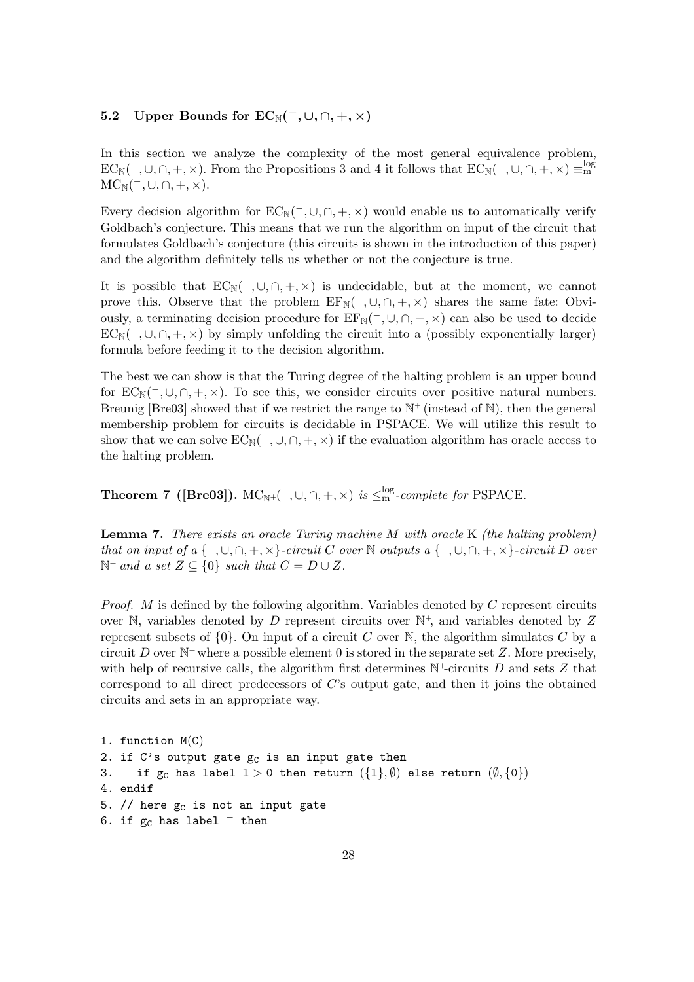# **5.2** Upper Bounds for  $EC_{\mathbb{N}}(\overline{\phantom{a}}, \cup, \cap, +, \times)$

In this section we analyze the complexity of the most general equivalence problem,  $EC_{\mathbb{N}}(\bar{\ } ,\cup,\cap,+,\times)$ . From the Propositions 3 and 4 it follows that  $EC_{\mathbb{N}}(\bar{\ } ,\cup,\cap,+,\times) \equiv_{\mathrm{m}}^{\mathrm{log}}$  $MC_N(^{-}, \cup, \cap, +, \times).$ 

Every decision algorithm for  $EC_N(\neg, \cup, \cap, +, \times)$  would enable us to automatically verify Goldbach's conjecture. This means that we run the algorithm on input of the circuit that formulates Goldbach's conjecture (this circuits is shown in the introduction of this paper) and the algorithm definitely tells us whether or not the conjecture is true.

It is possible that  $EC_N(\bar{\ } ,\cup,\cap,+,\times)$  is undecidable, but at the moment, we cannot prove this. Observe that the problem  $EF_N(\overline{\phantom{x}}, \cup, \cap, +, \times)$  shares the same fate: Obviously, a terminating decision procedure for  $EF_N(\overline{\phantom{x}}, \cup, \cap, +, \times)$  can also be used to decide  $EC_{N}(\neg, \cup, \cap, +, \times)$  by simply unfolding the circuit into a (possibly exponentially larger) formula before feeding it to the decision algorithm.

The best we can show is that the Turing degree of the halting problem is an upper bound for  $EC_N(\neg, \cup, \cap, +, \times)$ . To see this, we consider circuits over positive natural numbers. Breunig [Bre03] showed that if we restrict the range to  $\mathbb{N}^+$  (instead of  $\mathbb{N}$ ), then the general membership problem for circuits is decidable in PSPACE. We will utilize this result to show that we can solve  $EC_N(\bar{\phantom{a}}, \cup, \cap, +, \times)$  if the evaluation algorithm has oracle access to the halting problem.

**Theorem 7** ([Bre03]).  $MC_{\mathbb{N}^+}(-, \cup, \cap, +, \times)$  *is*  $\leq^{\log}_{\mathbb{N}}$ *-complete for* PSPACE*.* 

**Lemma 7.** *There exists an oracle Turing machine* M *with oracle* K *(the halting problem) that on input of a*  $\{-\, \cup, \cap, +, \times\}$ *-circuit* C *over* N *outputs a*  $\{-\, \cup, \cap, +, \times\}$ *-circuit* D *over*  $\mathbb{N}^+$  *and a set*  $Z \subseteq \{0\}$  *such that*  $C = D \cup Z$ *.* 

*Proof.* M is defined by the following algorithm. Variables denoted by C represent circuits over N, variables denoted by D represent circuits over  $\mathbb{N}^+$ , and variables denoted by Z represent subsets of  $\{0\}$ . On input of a circuit C over N, the algorithm simulates C by a circuit D over  $\mathbb{N}^+$  where a possible element 0 is stored in the separate set Z. More precisely, with help of recursive calls, the algorithm first determines  $\mathbb{N}^+$ -circuits D and sets Z that correspond to all direct predecessors of C's output gate, and then it joins the obtained circuits and sets in an appropriate way.

1. function M(C) 2. if C's output gate  $g_c$  is an input gate then 3. if  $g_c$  has label  $1 > 0$  then return  $(\{1\}, \emptyset)$  else return  $(\emptyset, \{0\})$ 4. endif 5. // here  $g_c$  is not an input gate 6. if  $g_C$  has label  $^-$  then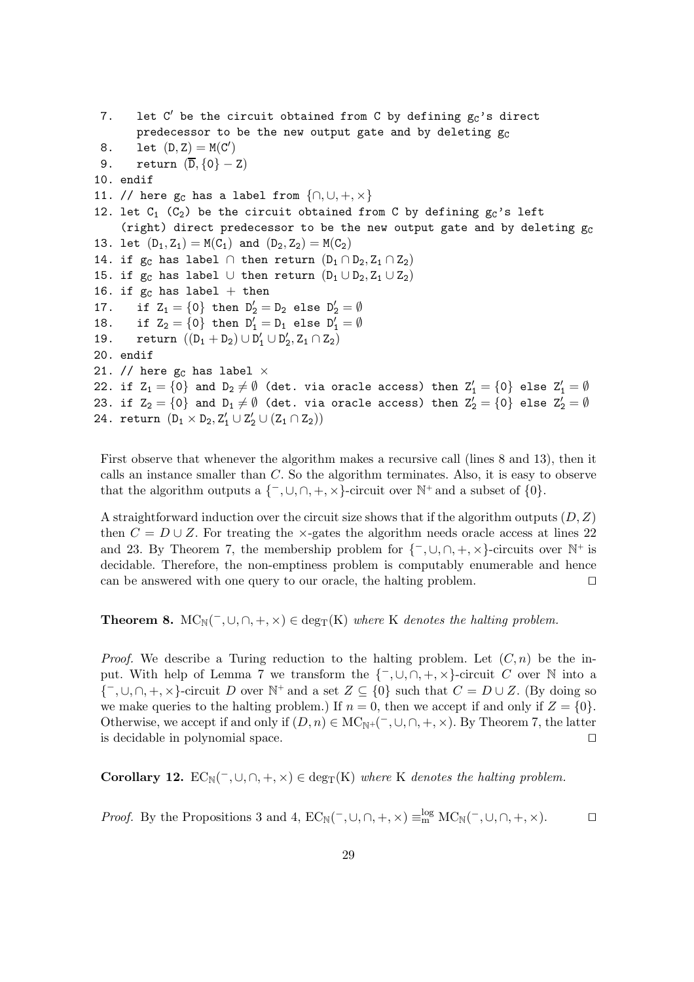7. Let  $C'$  be the circuit obtained from  $C$  by defining  $g_C$ 's direct predecessor to be the new output gate and by deleting  $g_C$ 8. Let  $(D, Z) = M(C')$ 9. return  $(\overline{D}, \{0\} - Z)$ 10. endif 11. // here  $g_C$  has a label from  $\{\cap, \cup, +, \times\}$ 12. let  $C_1$  ( $C_2$ ) be the circuit obtained from C by defining  $g_C$ 's left (right) direct predecessor to be the new output gate and by deleting  $g_C$ 13. let  $(D_1, Z_1) = M(C_1)$  and  $(D_2, Z_2) = M(C_2)$ 14. if  $g_C$  has label  $\cap$  then return  $(D_1 \cap D_2, Z_1 \cap Z_2)$ 15. if g<sub>C</sub> has label ∪ then return  $(D_1 \cup D_2, Z_1 \cup Z_2)$ 16. if  $g_c$  has label + then 17. if  $Z_1 = \{0\}$  then  $D_2' = D_2$  else  $D_2' = \emptyset$ 18. if  $Z_2 = \{0\}$  then  $D'_1 = D_1$  else  $D'_1 = \emptyset$ 19. return  $((D_1 + D_2) \cup D'_1 \cup D'_2, Z_1 \cap Z_2)$ 20. endif 21. // here  $g_C$  has label  $\times$ 22. if  $Z_1 = \{0\}$  and  $D_2 \neq \emptyset$  (det. via oracle access) then  $Z_1' = \{0\}$  else  $Z_1' = \emptyset$ 23. if  $Z_2 = \{0\}$  and  $D_1 \neq \emptyset$  (det. via oracle access) then  $Z_2' = \{0\}$  else  $Z_2' = \emptyset$ 24. return  $(D_1 \times D_2, Z'_1 \cup Z'_2 \cup (Z_1 \cap Z_2))$ 

First observe that whenever the algorithm makes a recursive call (lines 8 and 13), then it calls an instance smaller than C. So the algorithm terminates. Also, it is easy to observe that the algorithm outputs a  $\{-\int, \bigcup_{n=1}^{\infty}$ ,  $\left(\bigcup_{n=1}^{\infty}$ ,  $\left(\bigcup_{n=1}^{\infty}$  and a subset of  $\{0\}$ .

A straightforward induction over the circuit size shows that if the algorithm outputs  $(D, Z)$ then  $C = D \cup Z$ . For treating the ×-gates the algorithm needs oracle access at lines 22 and 23. By Theorem 7, the membership problem for  $\{\neg, \cup, \cap, +, \times\}$ -circuits over N<sup>+</sup> is decidable. Therefore, the non-emptiness problem is computably enumerable and hence can be answered with one query to our oracle, the halting problem.

**Theorem 8.**  $MC_N(\neg, \cup, \cap, +, \times) \in \text{deg}_T(K)$  *where* K *denotes the halting problem.* 

*Proof.* We describe a Turing reduction to the halting problem. Let  $(C, n)$  be the input. With help of Lemma 7 we transform the  $\{\overline{\phantom{x}}, \cup, \cap, +, \times\}$ -circuit C over N into a  $\{-\int, \bigcup, \bigcap, +\infty\}$ -circuit D over  $\mathbb{N}^+$  and a set  $Z \subseteq \{0\}$  such that  $C = D \cup Z$ . (By doing so we make queries to the halting problem.) If  $n = 0$ , then we accept if and only if  $Z = \{0\}$ . Otherwise, we accept if and only if  $(D, n) \in \mathrm{MC}_{\mathbb{N}^+}(\bar{\phantom{x}}, \cup, \cap, +, \times)$ . By Theorem 7, the latter is decidable in polynomial space.

**Corollary 12.**  $EC_{\mathbb{N}}(\bar{\phantom{x}},\cup,\cap,+,\times) \in \text{deg}_{\mathbb{T}}(K)$  where K denotes the halting problem.

*Proof.* By the Propositions 3 and 4,  $EC_{\mathbb{N}}(\text{-},\cup,\cap, +, \times) \equiv_{\text{m}}^{\log} \text{MC}_{\mathbb{N}}(\text{-},\cup,\cap, +, \times)$ .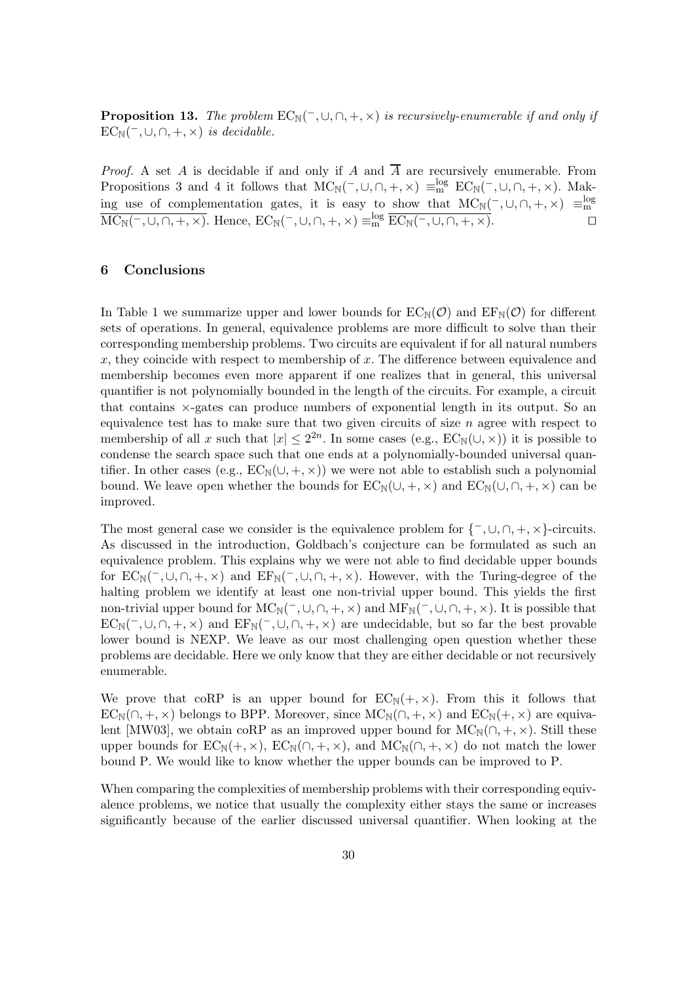**Proposition 13.** *The problem*  $EC_N(\text{-}, \cup, \cap, +, \times)$  *is recursively-enumerable if and only if*  $EC_{\mathbb{N}}(\overline{\phantom{a}},\cup,\cap,+,\times)$  *is decidable.* 

*Proof.* A set A is decidable if and only if A and  $\overline{A}$  are recursively enumerable. From Propositions 3 and 4 it follows that  $MC_N(\overline{\phantom{a}}, \cup, \cap, +, \times) \equiv_{\text{nn}}^{\log} EC_N(\overline{\phantom{a}}, \cup, \cap, +, \times)$ . Making use of complementation gates, it is easy to show that  $MC_N(\overline{\ }$ ,∪,∩, +, ×)  $\equiv_m^{\log} MC_N(\overline{\ }$ ,∪,∩, +, ×). Hence,  $EC_N(\overline{\ }$ ,∪,∩, +, ×)  $\equiv_m^{\log} EC_N(\overline{\ }$ ,∪,∩, +, ×).

## **6 Conclusions**

In Table 1 we summarize upper and lower bounds for  $EC_{\mathbb{N}}(\mathcal{O})$  and  $EF_{\mathbb{N}}(\mathcal{O})$  for different sets of operations. In general, equivalence problems are more difficult to solve than their corresponding membership problems. Two circuits are equivalent if for all natural numbers x, they coincide with respect to membership of x. The difference between equivalence and membership becomes even more apparent if one realizes that in general, this universal quantifier is not polynomially bounded in the length of the circuits. For example, a circuit that contains ×-gates can produce numbers of exponential length in its output. So an equivalence test has to make sure that two given circuits of size  $n$  agree with respect to membership of all x such that  $|x| \leq 2^{2n}$ . In some cases (e.g.,  $EC_{\mathbb{N}}(\cup,\times)$ ) it is possible to condense the search space such that one ends at a polynomially-bounded universal quantifier. In other cases (e.g.,  $EC_N(\cup, +, \times)$ ) we were not able to establish such a polynomial bound. We leave open whether the bounds for  $EC_{\mathbb{N}}(\cup, +, \times)$  and  $EC_{\mathbb{N}}(\cup, \cap, +, \times)$  can be improved.

The most general case we consider is the equivalence problem for  $\{-\int, \bigcup, \bigcap, +\infty\}$ -circuits. As discussed in the introduction, Goldbach's conjecture can be formulated as such an equivalence problem. This explains why we were not able to find decidable upper bounds for  $EC_N(\neg, \cup, \cap, +, \times)$  and  $EF_N(\neg, \cup, \cap, +, \times)$ . However, with the Turing-degree of the halting problem we identify at least one non-trivial upper bound. This yields the first non-trivial upper bound for  $MC_N(\overline{\phantom{x}}, \cup, \cap, +, \times)$  and  $MF_N(\overline{\phantom{x}}, \cup, \cap, +, \times)$ . It is possible that  $EC_{\mathbb{N}}(\neg, \cup, \cap, +, \times)$  and  $EF_{\mathbb{N}}(\neg, \cup, \cap, +, \times)$  are undecidable, but so far the best provable lower bound is NEXP. We leave as our most challenging open question whether these problems are decidable. Here we only know that they are either decidable or not recursively enumerable.

We prove that coRP is an upper bound for  $EC_N(+, \times)$ . From this it follows that  $EC_{\mathbb{N}}(\cap, +, \times)$  belongs to BPP. Moreover, since  $MC_{\mathbb{N}}(\cap, +, \times)$  and  $EC_{\mathbb{N}}(+, \times)$  are equivalent [MW03], we obtain coRP as an improved upper bound for  $MC_N(\cap, +, \times)$ . Still these upper bounds for  $EC_N(+, \times)$ ,  $EC_N(\cap, +, \times)$ , and  $MC_N(\cap, +, \times)$  do not match the lower bound P. We would like to know whether the upper bounds can be improved to P.

When comparing the complexities of membership problems with their corresponding equivalence problems, we notice that usually the complexity either stays the same or increases significantly because of the earlier discussed universal quantifier. When looking at the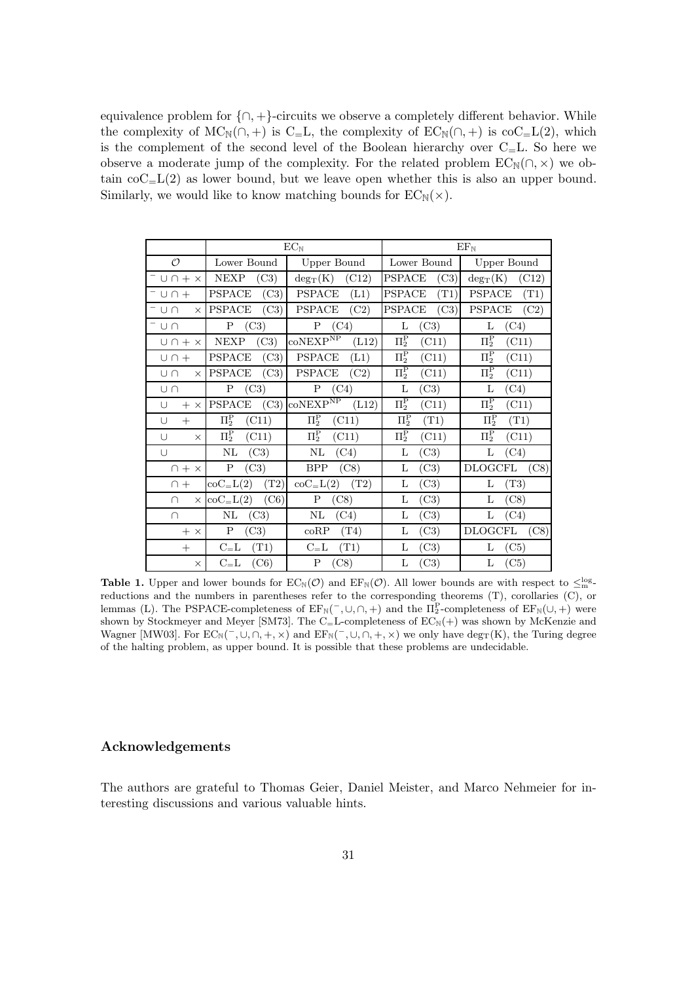equivalence problem for  $\{\cap, +\}$ -circuits we observe a completely different behavior. While the complexity of  $MC_N(\cap, +)$  is C=L, the complexity of  $EC_N(\cap, +)$  is coC=L(2), which is the complement of the second level of the Boolean hierarchy over  $C<sub>=</sub>L$ . So here we observe a moderate jump of the complexity. For the related problem  $EC_{\mathbb{N}}(\cap, \times)$  we obtain  $\mathrm{coC}_{\text{=}L}(2)$  as lower bound, but we leave open whether this is also an upper bound. Similarly, we would like to know matching bounds for  $EC_{\mathbb{N}}(\times)$ .

|                    | $EC_{\mathbb{N}}$ |                                                                       | $EF_{N}$        |                 |
|--------------------|-------------------|-----------------------------------------------------------------------|-----------------|-----------------|
| $\mathcal{O}$      | Lower Bound       | <b>Upper Bound</b>                                                    | Lower Bound     | Upper Bound     |
| $U \cap + \times$  | <b>NEXP</b>       | (C12)                                                                 | (C3)            | $deg_T(K)$      |
|                    | (C3)              | $deg_T(K)$                                                            | PSPACE          | (C12)           |
| ⊺∪∩+               | (C3)              | <b>PSPACE</b>                                                         | (T1)            | <b>PSPACE</b>   |
|                    | <b>PSPACE</b>     | (L1)                                                                  | <b>PSPACE</b>   | (T1)            |
| $^-$ U N           | <b>PSPACE</b>     | <b>PSPACE</b>                                                         | <b>PSPACE</b>   | <b>PSPACE</b>   |
| $\times$           | (C3)              | (C2)                                                                  | (C3)            | (C2)            |
| -∪∩                | P                 | P                                                                     | L               | L               |
|                    | (C3)              | (C4)                                                                  | (C3)            | (C4)            |
| $U \cap + \times$  | <b>NEXP</b>       | $\mathrm{co} \mathrm{N}\mathrm{EXP}^{\mathrm{NP}}$                    | $\Pi_2^{\rm P}$ | $\Pi_2^{\rm P}$ |
|                    | (C3)              | (L12)                                                                 | (C11)           | (C11)           |
| $U \cap +$         | <b>PSPACE</b>     | <b>PSPACE</b>                                                         | $\Pi_2^{\rm P}$ | $\Pi_2^{\rm P}$ |
|                    | (C3)              | (L1)                                                                  | (C11)           | (C11)           |
| UN                 | <b>PSPACE</b>     | <b>PSPACE</b>                                                         | $\Pi_2^{\rm P}$ | $\Pi_2^{\rm P}$ |
| $\times$           | (C3)              | (C2)                                                                  | (C11)           | (C11)           |
| Un                 | P                 | P                                                                     | L               | L               |
|                    | (C3)              | (C4)                                                                  | (C3)            | (C4)            |
| U                  | PSPACE            | $\mathrm{co} \mathrm{N}\mathrm{E}\mathrm{X} \mathrm{P}^{\mathrm{NP}}$ | $\Pi_2^{\rm P}$ | $\Pi_2^{\rm P}$ |
| $+ x$              | (C3)              | (L12)                                                                 | (C11)           | (C11)           |
| $+$                | $\Pi_2^{\rm P}$   | $\Pi_2^{\rm P}$                                                       | $\Pi_2^{\rm P}$ | $\Pi_2^{\rm P}$ |
| U                  | (C11)             | (C11)                                                                 | (T1)            | (T1)            |
| U                  | $\Pi_2^{\rm P}$   | $\Pi_2^{\rm P}$                                                       | $\Pi_2^{\rm P}$ | $\Pi_2^{\rm P}$ |
| $\times$           | (C11)             | (C11)                                                                 | (C11)           | (C11)           |
| U                  | NL                | NL                                                                    | L               | L               |
|                    | (C3)              | (C4)                                                                  | (C3)            | (C4)            |
| $\bigcap + \times$ | $\mathbf P$       | BPP                                                                   | L               | DLOGCFL         |
|                    | (C3)              | (C8)                                                                  | (C3)            | (C8)            |
| $\cap$ +           | (T2)              | (T2)                                                                  | L               | L               |
|                    | $coC=L(2)$        | $coC=L(2)$                                                            | (C3)            | $(\mathrm{T3})$ |
| ∩                  | (C6)              | P                                                                     | L               | L               |
| $\times$           | $coC=L(2)$        | (C8)                                                                  | (C3)            | (C8)            |
| $\cap$             | $\rm NL$          | NL                                                                    | L               | L               |
|                    | (C3)              | (C4)                                                                  | (C3)            | (C4)            |
| $+ x$              | P                 | coRP                                                                  | L               | DLOGCFL         |
|                    | (C3)              | (T4)                                                                  | (C3)            | (C8)            |
| $+$                | $C = L$           | $C = L$                                                               | L               | L               |
|                    | (T1)              | (T1)                                                                  | (C3)            | (C5)            |
| $\times$           | (C6)              | P                                                                     | L               | L               |
|                    | $C = L$           | (C8)                                                                  | (C3)            | (C5)            |

**Table 1.** Upper and lower bounds for  $EC_N(\mathcal{O})$  and  $EF_N(\mathcal{O})$ . All lower bounds are with respect to  $\leq_{\text{log}}^{\text{log}}$ reductions and the numbers in parentheses refer to the corresponding theorems (T), corollaries (C), or lemmas (L). The PSPACE-completeness of  $EF_N(\bar{\ } , \cup, \cap, +)$  and the  $\Pi_2^P$ -completeness of  $EF_N(\cup, +)$  were shown by Stockmeyer and Meyer [SM73]. The C=L-completeness of  $EC_N(+)$  was shown by McKenzie and Wagner [MW03]. For  $EC_N(\text{-}, \cup, \cap, +, \times)$  and  $EF_N(\text{-}, \cup, \cap, +, \times)$  we only have deg<sub>T</sub>(K), the Turing degree of the halting problem, as upper bound. It is possible that these problems are undecidable.

# **Acknowledgements**

The authors are grateful to Thomas Geier, Daniel Meister, and Marco Nehmeier for interesting discussions and various valuable hints.